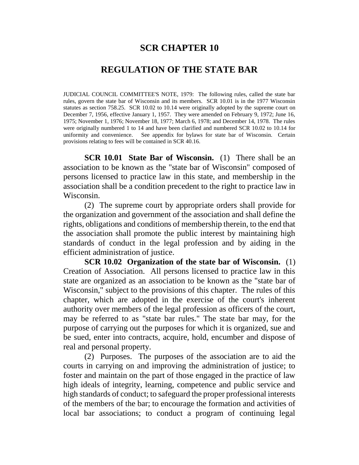# **SCR CHAPTER 10**

# **REGULATION OF THE STATE BAR**

JUDICIAL COUNCIL COMMITTEE'S NOTE, 1979: The following rules, called the state bar rules, govern the state bar of Wisconsin and its members. SCR 10.01 is in the 1977 Wisconsin statutes as section 758.25. SCR 10.02 to 10.14 were originally adopted by the supreme court on December 7, 1956, effective January 1, 1957. They were amended on February 9, 1972; June 16, 1975; November 1, 1976; November 18, 1977; March 6, 1978; and December 14, 1978. The rules were originally numbered 1 to 14 and have been clarified and numbered SCR 10.02 to 10.14 for uniformity and convenience. See appendix for bylaws for state bar of Wisconsin. Certain provisions relating to fees will be contained in SCR 40.16.

**SCR 10.01 State Bar of Wisconsin.** (1) There shall be an association to be known as the "state bar of Wisconsin" composed of persons licensed to practice law in this state, and membership in the association shall be a condition precedent to the right to practice law in Wisconsin.

(2) The supreme court by appropriate orders shall provide for the organization and government of the association and shall define the rights, obligations and conditions of membership therein, to the end that the association shall promote the public interest by maintaining high standards of conduct in the legal profession and by aiding in the efficient administration of justice.

**SCR 10.02 Organization of the state bar of Wisconsin.** (1) Creation of Association. All persons licensed to practice law in this state are organized as an association to be known as the "state bar of Wisconsin," subject to the provisions of this chapter. The rules of this chapter, which are adopted in the exercise of the court's inherent authority over members of the legal profession as officers of the court, may be referred to as "state bar rules." The state bar may, for the purpose of carrying out the purposes for which it is organized, sue and be sued, enter into contracts, acquire, hold, encumber and dispose of real and personal property.

(2) Purposes. The purposes of the association are to aid the courts in carrying on and improving the administration of justice; to foster and maintain on the part of those engaged in the practice of law high ideals of integrity, learning, competence and public service and high standards of conduct; to safeguard the proper professional interests of the members of the bar; to encourage the formation and activities of local bar associations; to conduct a program of continuing legal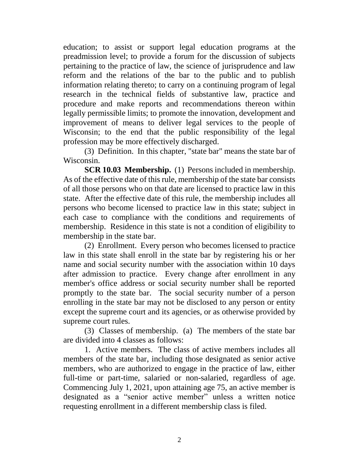education; to assist or support legal education programs at the preadmission level; to provide a forum for the discussion of subjects pertaining to the practice of law, the science of jurisprudence and law reform and the relations of the bar to the public and to publish information relating thereto; to carry on a continuing program of legal research in the technical fields of substantive law, practice and procedure and make reports and recommendations thereon within legally permissible limits; to promote the innovation, development and improvement of means to deliver legal services to the people of Wisconsin; to the end that the public responsibility of the legal profession may be more effectively discharged.

(3) Definition. In this chapter, "state bar" means the state bar of Wisconsin.

**SCR 10.03 Membership.** (1) Persons included in membership. As of the effective date of this rule, membership of the state bar consists of all those persons who on that date are licensed to practice law in this state. After the effective date of this rule, the membership includes all persons who become licensed to practice law in this state; subject in each case to compliance with the conditions and requirements of membership. Residence in this state is not a condition of eligibility to membership in the state bar.

(2) Enrollment. Every person who becomes licensed to practice law in this state shall enroll in the state bar by registering his or her name and social security number with the association within 10 days after admission to practice. Every change after enrollment in any member's office address or social security number shall be reported promptly to the state bar. The social security number of a person enrolling in the state bar may not be disclosed to any person or entity except the supreme court and its agencies, or as otherwise provided by supreme court rules.

(3) Classes of membership. (a) The members of the state bar are divided into 4 classes as follows:

1. Active members. The class of active members includes all members of the state bar, including those designated as senior active members, who are authorized to engage in the practice of law, either full-time or part-time, salaried or non-salaried, regardless of age. Commencing July 1, 2021, upon attaining age 75, an active member is designated as a "senior active member" unless a written notice requesting enrollment in a different membership class is filed.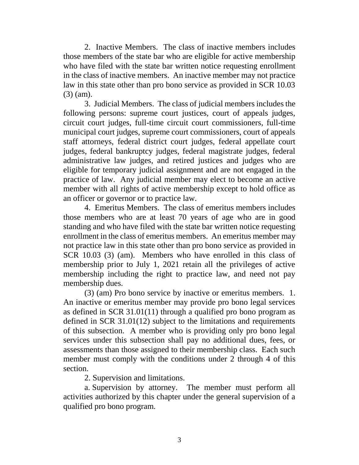2. Inactive Members. The class of inactive members includes those members of the state bar who are eligible for active membership who have filed with the state bar written notice requesting enrollment in the class of inactive members. An inactive member may not practice law in this state other than pro bono service as provided in SCR 10.03 (3) (am).

3. Judicial Members. The class of judicial members includes the following persons: supreme court justices, court of appeals judges, circuit court judges, full-time circuit court commissioners, full-time municipal court judges, supreme court commissioners, court of appeals staff attorneys, federal district court judges, federal appellate court judges, federal bankruptcy judges, federal magistrate judges, federal administrative law judges, and retired justices and judges who are eligible for temporary judicial assignment and are not engaged in the practice of law. Any judicial member may elect to become an active member with all rights of active membership except to hold office as an officer or governor or to practice law.

4. Emeritus Members. The class of emeritus members includes those members who are at least 70 years of age who are in good standing and who have filed with the state bar written notice requesting enrollment in the class of emeritus members. An emeritus member may not practice law in this state other than pro bono service as provided in SCR 10.03 (3) (am). Members who have enrolled in this class of membership prior to July 1, 2021 retain all the privileges of active membership including the right to practice law, and need not pay membership dues.

(3) (am) Pro bono service by inactive or emeritus members. 1. An inactive or emeritus member may provide pro bono legal services as defined in SCR 31.01(11) through a qualified pro bono program as defined in SCR 31.01(12) subject to the limitations and requirements of this subsection. A member who is providing only pro bono legal services under this subsection shall pay no additional dues, fees, or assessments than those assigned to their membership class. Each such member must comply with the conditions under 2 through 4 of this section.

2. Supervision and limitations.

a. Supervision by attorney. The member must perform all activities authorized by this chapter under the general supervision of a qualified pro bono program.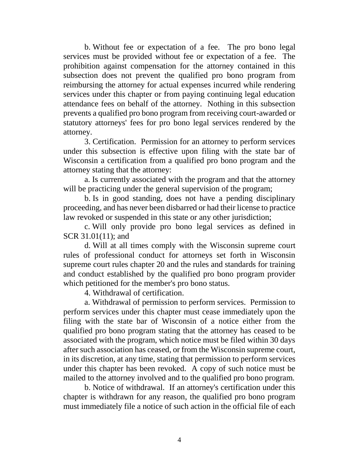b. Without fee or expectation of a fee. The pro bono legal services must be provided without fee or expectation of a fee. The prohibition against compensation for the attorney contained in this subsection does not prevent the qualified pro bono program from reimbursing the attorney for actual expenses incurred while rendering services under this chapter or from paying continuing legal education attendance fees on behalf of the attorney. Nothing in this subsection prevents a qualified pro bono program from receiving court-awarded or statutory attorneys' fees for pro bono legal services rendered by the attorney.

3. Certification. Permission for an attorney to perform services under this subsection is effective upon filing with the state bar of Wisconsin a certification from a qualified pro bono program and the attorney stating that the attorney:

a. Is currently associated with the program and that the attorney will be practicing under the general supervision of the program;

b. Is in good standing, does not have a pending disciplinary proceeding, and has never been disbarred or had their license to practice law revoked or suspended in this state or any other jurisdiction;

c. Will only provide pro bono legal services as defined in SCR 31.01(11); and

d. Will at all times comply with the Wisconsin supreme court rules of professional conduct for attorneys set forth in Wisconsin supreme court rules chapter 20 and the rules and standards for training and conduct established by the qualified pro bono program provider which petitioned for the member's pro bono status.

4. Withdrawal of certification.

a. Withdrawal of permission to perform services. Permission to perform services under this chapter must cease immediately upon the filing with the state bar of Wisconsin of a notice either from the qualified pro bono program stating that the attorney has ceased to be associated with the program, which notice must be filed within 30 days after such association has ceased, or from the Wisconsin supreme court, in its discretion, at any time, stating that permission to perform services under this chapter has been revoked. A copy of such notice must be mailed to the attorney involved and to the qualified pro bono program.

b. Notice of withdrawal. If an attorney's certification under this chapter is withdrawn for any reason, the qualified pro bono program must immediately file a notice of such action in the official file of each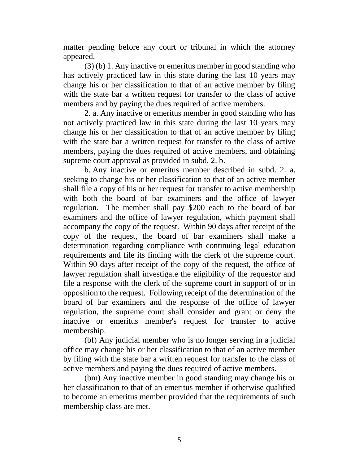matter pending before any court or tribunal in which the attorney appeared.

(3) (b) 1. Any inactive or emeritus member in good standing who has actively practiced law in this state during the last 10 years may change his or her classification to that of an active member by filing with the state bar a written request for transfer to the class of active members and by paying the dues required of active members.

2. a. Any inactive or emeritus member in good standing who has not actively practiced law in this state during the last 10 years may change his or her classification to that of an active member by filing with the state bar a written request for transfer to the class of active members, paying the dues required of active members, and obtaining supreme court approval as provided in subd. 2. b.

b. Any inactive or emeritus member described in subd. 2. a. seeking to change his or her classification to that of an active member shall file a copy of his or her request for transfer to active membership with both the board of bar examiners and the office of lawyer regulation. The member shall pay \$200 each to the board of bar examiners and the office of lawyer regulation, which payment shall accompany the copy of the request. Within 90 days after receipt of the copy of the request, the board of bar examiners shall make a determination regarding compliance with continuing legal education requirements and file its finding with the clerk of the supreme court. Within 90 days after receipt of the copy of the request, the office of lawyer regulation shall investigate the eligibility of the requestor and file a response with the clerk of the supreme court in support of or in opposition to the request. Following receipt of the determination of the board of bar examiners and the response of the office of lawyer regulation, the supreme court shall consider and grant or deny the inactive or emeritus member's request for transfer to active membership.

(bf) Any judicial member who is no longer serving in a judicial office may change his or her classification to that of an active member by filing with the state bar a written request for transfer to the class of active members and paying the dues required of active members.

(bm) Any inactive member in good standing may change his or her classification to that of an emeritus member if otherwise qualified to become an emeritus member provided that the requirements of such membership class are met.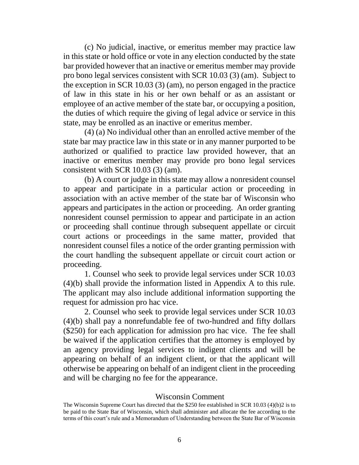(c) No judicial, inactive, or emeritus member may practice law in this state or hold office or vote in any election conducted by the state bar provided however that an inactive or emeritus member may provide pro bono legal services consistent with SCR 10.03 (3) (am). Subject to the exception in SCR 10.03 (3) (am), no person engaged in the practice of law in this state in his or her own behalf or as an assistant or employee of an active member of the state bar, or occupying a position, the duties of which require the giving of legal advice or service in this state, may be enrolled as an inactive or emeritus member.

(4) (a) No individual other than an enrolled active member of the state bar may practice law in this state or in any manner purported to be authorized or qualified to practice law provided however, that an inactive or emeritus member may provide pro bono legal services consistent with SCR 10.03 (3) (am).

(b) A court or judge in this state may allow a nonresident counsel to appear and participate in a particular action or proceeding in association with an active member of the state bar of Wisconsin who appears and participates in the action or proceeding. An order granting nonresident counsel permission to appear and participate in an action or proceeding shall continue through subsequent appellate or circuit court actions or proceedings in the same matter, provided that nonresident counsel files a notice of the order granting permission with the court handling the subsequent appellate or circuit court action or proceeding.

1. Counsel who seek to provide legal services under SCR 10.03 (4)(b) shall provide the information listed in Appendix A to this rule. The applicant may also include additional information supporting the request for admission pro hac vice.

2. Counsel who seek to provide legal services under SCR 10.03 (4)(b) shall pay a nonrefundable fee of two-hundred and fifty dollars (\$250) for each application for admission pro hac vice. The fee shall be waived if the application certifies that the attorney is employed by an agency providing legal services to indigent clients and will be appearing on behalf of an indigent client, or that the applicant will otherwise be appearing on behalf of an indigent client in the proceeding and will be charging no fee for the appearance.

### Wisconsin Comment

The Wisconsin Supreme Court has directed that the \$250 fee established in SCR 10.03 (4)(b)2 is to be paid to the State Bar of Wisconsin, which shall administer and allocate the fee according to the terms of this court's rule and a Memorandum of Understanding between the State Bar of Wisconsin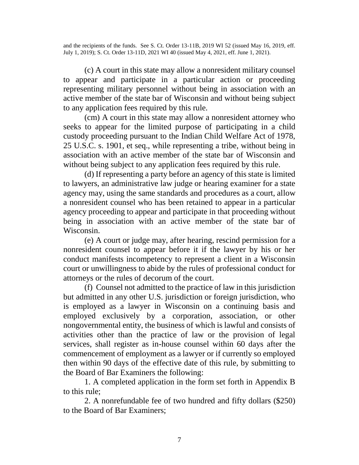and the recipients of the funds. See S. Ct. Order 13-11B, 2019 WI 52 (issued May 16, 2019, eff. July 1, 2019); S. Ct. Order 13-11D, 2021 WI 40 (issued May 4, 2021, eff. June 1, 2021).

(c) A court in this state may allow a nonresident military counsel to appear and participate in a particular action or proceeding representing military personnel without being in association with an active member of the state bar of Wisconsin and without being subject to any application fees required by this rule.

(cm) A court in this state may allow a nonresident attorney who seeks to appear for the limited purpose of participating in a child custody proceeding pursuant to the Indian Child Welfare Act of 1978, 25 U.S.C. s. 1901, et seq., while representing a tribe, without being in association with an active member of the state bar of Wisconsin and without being subject to any application fees required by this rule.

(d) If representing a party before an agency of this state is limited to lawyers, an administrative law judge or hearing examiner for a state agency may, using the same standards and procedures as a court, allow a nonresident counsel who has been retained to appear in a particular agency proceeding to appear and participate in that proceeding without being in association with an active member of the state bar of Wisconsin.

(e) A court or judge may, after hearing, rescind permission for a nonresident counsel to appear before it if the lawyer by his or her conduct manifests incompetency to represent a client in a Wisconsin court or unwillingness to abide by the rules of professional conduct for attorneys or the rules of decorum of the court.

(f) Counsel not admitted to the practice of law in this jurisdiction but admitted in any other U.S. jurisdiction or foreign jurisdiction, who is employed as a lawyer in Wisconsin on a continuing basis and employed exclusively by a corporation, association, or other nongovernmental entity, the business of which is lawful and consists of activities other than the practice of law or the provision of legal services, shall register as in-house counsel within 60 days after the commencement of employment as a lawyer or if currently so employed then within 90 days of the effective date of this rule, by submitting to the Board of Bar Examiners the following:

1. A completed application in the form set forth in Appendix B to this rule;

2. A nonrefundable fee of two hundred and fifty dollars (\$250) to the Board of Bar Examiners;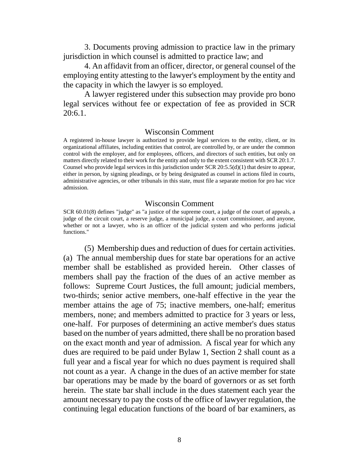3. Documents proving admission to practice law in the primary jurisdiction in which counsel is admitted to practice law; and

4. An affidavit from an officer, director, or general counsel of the employing entity attesting to the lawyer's employment by the entity and the capacity in which the lawyer is so employed.

A lawyer registered under this subsection may provide pro bono legal services without fee or expectation of fee as provided in SCR 20:6.1.

#### Wisconsin Comment

A registered in-house lawyer is authorized to provide legal services to the entity, client, or its organizational affiliates, including entities that control, are controlled by, or are under the common control with the employer, and for employees, officers, and directors of such entities, but only on matters directly related to their work for the entity and only to the extent consistent with SCR 20:1.7. Counsel who provide legal services in this jurisdiction under SCR  $20:5.5(d)(1)$  that desire to appear, either in person, by signing pleadings, or by being designated as counsel in actions filed in courts, administrative agencies, or other tribunals in this state, must file a separate motion for pro hac vice admission.

#### Wisconsin Comment

SCR 60.01(8) defines "judge" as "a justice of the supreme court, a judge of the court of appeals, a judge of the circuit court, a reserve judge, a municipal judge, a court commissioner, and anyone, whether or not a lawyer, who is an officer of the judicial system and who performs judicial functions."

(5) Membership dues and reduction of dues for certain activities. (a) The annual membership dues for state bar operations for an active member shall be established as provided herein. Other classes of members shall pay the fraction of the dues of an active member as follows: Supreme Court Justices, the full amount; judicial members, two-thirds; senior active members, one-half effective in the year the member attains the age of 75; inactive members, one-half; emeritus members, none; and members admitted to practice for 3 years or less, one-half. For purposes of determining an active member's dues status based on the number of years admitted, there shall be no proration based on the exact month and year of admission. A fiscal year for which any dues are required to be paid under Bylaw 1, Section 2 shall count as a full year and a fiscal year for which no dues payment is required shall not count as a year. A change in the dues of an active member for state bar operations may be made by the board of governors or as set forth herein. The state bar shall include in the dues statement each year the amount necessary to pay the costs of the office of lawyer regulation, the continuing legal education functions of the board of bar examiners, as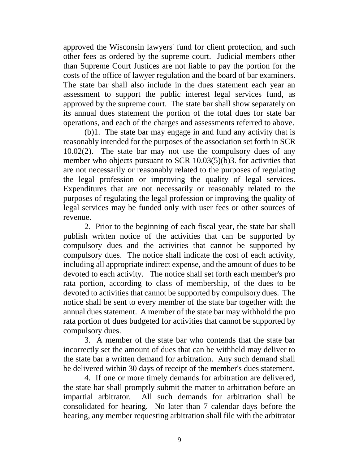approved the Wisconsin lawyers' fund for client protection, and such other fees as ordered by the supreme court. Judicial members other than Supreme Court Justices are not liable to pay the portion for the costs of the office of lawyer regulation and the board of bar examiners. The state bar shall also include in the dues statement each year an assessment to support the public interest legal services fund, as approved by the supreme court. The state bar shall show separately on its annual dues statement the portion of the total dues for state bar operations, and each of the charges and assessments referred to above.

(b)1. The state bar may engage in and fund any activity that is reasonably intended for the purposes of the association set forth in SCR 10.02(2). The state bar may not use the compulsory dues of any member who objects pursuant to SCR 10.03(5)(b)3. for activities that are not necessarily or reasonably related to the purposes of regulating the legal profession or improving the quality of legal services. Expenditures that are not necessarily or reasonably related to the purposes of regulating the legal profession or improving the quality of legal services may be funded only with user fees or other sources of revenue.

2. Prior to the beginning of each fiscal year, the state bar shall publish written notice of the activities that can be supported by compulsory dues and the activities that cannot be supported by compulsory dues. The notice shall indicate the cost of each activity, including all appropriate indirect expense, and the amount of dues to be devoted to each activity. The notice shall set forth each member's pro rata portion, according to class of membership, of the dues to be devoted to activities that cannot be supported by compulsory dues. The notice shall be sent to every member of the state bar together with the annual dues statement. A member of the state bar may withhold the pro rata portion of dues budgeted for activities that cannot be supported by compulsory dues.

3. A member of the state bar who contends that the state bar incorrectly set the amount of dues that can be withheld may deliver to the state bar a written demand for arbitration. Any such demand shall be delivered within 30 days of receipt of the member's dues statement.

4. If one or more timely demands for arbitration are delivered, the state bar shall promptly submit the matter to arbitration before an impartial arbitrator. All such demands for arbitration shall be consolidated for hearing. No later than 7 calendar days before the hearing, any member requesting arbitration shall file with the arbitrator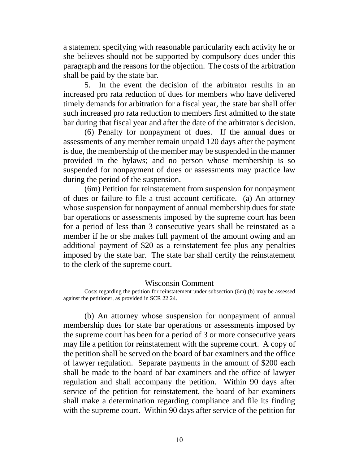a statement specifying with reasonable particularity each activity he or she believes should not be supported by compulsory dues under this paragraph and the reasons for the objection. The costs of the arbitration shall be paid by the state bar.

5. In the event the decision of the arbitrator results in an increased pro rata reduction of dues for members who have delivered timely demands for arbitration for a fiscal year, the state bar shall offer such increased pro rata reduction to members first admitted to the state bar during that fiscal year and after the date of the arbitrator's decision.

(6) Penalty for nonpayment of dues. If the annual dues or assessments of any member remain unpaid 120 days after the payment is due, the membership of the member may be suspended in the manner provided in the bylaws; and no person whose membership is so suspended for nonpayment of dues or assessments may practice law during the period of the suspension.

(6m) Petition for reinstatement from suspension for nonpayment of dues or failure to file a trust account certificate. (a) An attorney whose suspension for nonpayment of annual membership dues for state bar operations or assessments imposed by the supreme court has been for a period of less than 3 consecutive years shall be reinstated as a member if he or she makes full payment of the amount owing and an additional payment of \$20 as a reinstatement fee plus any penalties imposed by the state bar. The state bar shall certify the reinstatement to the clerk of the supreme court.

#### Wisconsin Comment

(b) An attorney whose suspension for nonpayment of annual membership dues for state bar operations or assessments imposed by the supreme court has been for a period of 3 or more consecutive years may file a petition for reinstatement with the supreme court. A copy of the petition shall be served on the board of bar examiners and the office of lawyer regulation. Separate payments in the amount of \$200 each shall be made to the board of bar examiners and the office of lawyer regulation and shall accompany the petition. Within 90 days after service of the petition for reinstatement, the board of bar examiners shall make a determination regarding compliance and file its finding with the supreme court. Within 90 days after service of the petition for

Costs regarding the petition for reinstatement under subsection (6m) (b) may be assessed against the petitioner, as provided in SCR 22.24.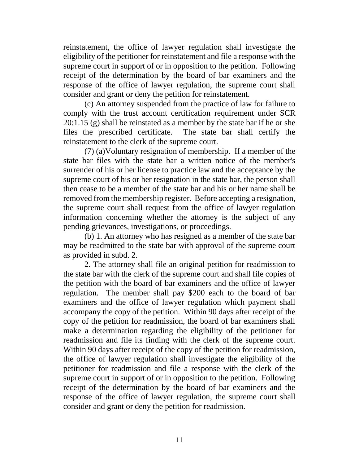reinstatement, the office of lawyer regulation shall investigate the eligibility of the petitioner for reinstatement and file a response with the supreme court in support of or in opposition to the petition. Following receipt of the determination by the board of bar examiners and the response of the office of lawyer regulation, the supreme court shall consider and grant or deny the petition for reinstatement.

(c) An attorney suspended from the practice of law for failure to comply with the trust account certification requirement under SCR 20:1.15 (g) shall be reinstated as a member by the state bar if he or she files the prescribed certificate. The state bar shall certify the reinstatement to the clerk of the supreme court.

(7) (a)Voluntary resignation of membership. If a member of the state bar files with the state bar a written notice of the member's surrender of his or her license to practice law and the acceptance by the supreme court of his or her resignation in the state bar, the person shall then cease to be a member of the state bar and his or her name shall be removed from the membership register. Before accepting a resignation, the supreme court shall request from the office of lawyer regulation information concerning whether the attorney is the subject of any pending grievances, investigations, or proceedings.

(b) 1. An attorney who has resigned as a member of the state bar may be readmitted to the state bar with approval of the supreme court as provided in subd. 2.

2. The attorney shall file an original petition for readmission to the state bar with the clerk of the supreme court and shall file copies of the petition with the board of bar examiners and the office of lawyer regulation. The member shall pay \$200 each to the board of bar examiners and the office of lawyer regulation which payment shall accompany the copy of the petition. Within 90 days after receipt of the copy of the petition for readmission, the board of bar examiners shall make a determination regarding the eligibility of the petitioner for readmission and file its finding with the clerk of the supreme court. Within 90 days after receipt of the copy of the petition for readmission, the office of lawyer regulation shall investigate the eligibility of the petitioner for readmission and file a response with the clerk of the supreme court in support of or in opposition to the petition. Following receipt of the determination by the board of bar examiners and the response of the office of lawyer regulation, the supreme court shall consider and grant or deny the petition for readmission.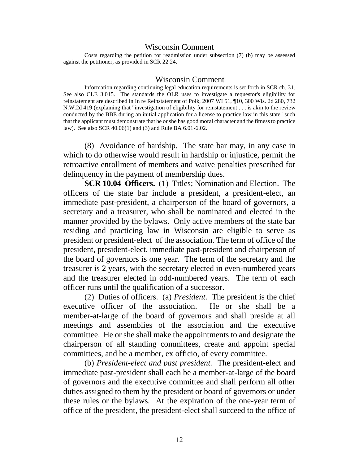#### Wisconsin Comment

Costs regarding the petition for readmission under subsection (7) (b) may be assessed against the petitioner, as provided in SCR 22.24.

#### Wisconsin Comment

Information regarding continuing legal education requirements is set forth in SCR ch. 31. See also CLE 3.015. The standards the OLR uses to investigate a requestor's eligibility for reinstatement are described in In re Reinstatement of Polk, 2007 WI 51, ¶10, 300 Wis. 2d 280, 732 N.W.2d 419 (explaining that "investigation of eligibility for reinstatement . . . is akin to the review conducted by the BBE during an initial application for a license to practice law in this state" such that the applicant must demonstrate that he or she has good moral character and the fitness to practice law). See also SCR 40.06(1) and (3) and Rule BA 6.01-6.02.

(8) Avoidance of hardship. The state bar may, in any case in which to do otherwise would result in hardship or injustice, permit the retroactive enrollment of members and waive penalties prescribed for delinquency in the payment of membership dues.

**SCR 10.04 Officers.** (1) Titles; Nomination and Election. The officers of the state bar include a president, a president-elect, an immediate past-president, a chairperson of the board of governors, a secretary and a treasurer, who shall be nominated and elected in the manner provided by the bylaws. Only active members of the state bar residing and practicing law in Wisconsin are eligible to serve as president or president-elect of the association. The term of office of the president, president-elect, immediate past-president and chairperson of the board of governors is one year. The term of the secretary and the treasurer is 2 years, with the secretary elected in even-numbered years and the treasurer elected in odd-numbered years. The term of each officer runs until the qualification of a successor.

(2) Duties of officers. (a) *President.* The president is the chief executive officer of the association. He or she shall be a member-at-large of the board of governors and shall preside at all meetings and assemblies of the association and the executive committee. He or she shall make the appointments to and designate the chairperson of all standing committees, create and appoint special committees, and be a member, ex officio, of every committee.

(b) *President-elect and past president.* The president-elect and immediate past-president shall each be a member-at-large of the board of governors and the executive committee and shall perform all other duties assigned to them by the president or board of governors or under these rules or the bylaws. At the expiration of the one-year term of office of the president, the president-elect shall succeed to the office of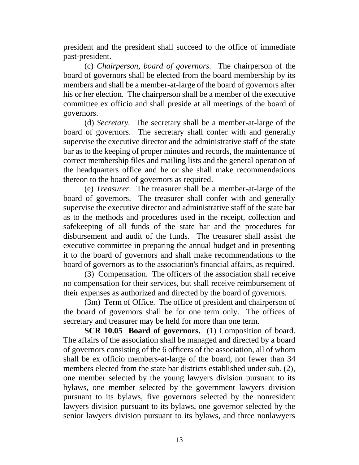president and the president shall succeed to the office of immediate past-president.

(c) *Chairperson, board of governors.* The chairperson of the board of governors shall be elected from the board membership by its members and shall be a member-at-large of the board of governors after his or her election. The chairperson shall be a member of the executive committee ex officio and shall preside at all meetings of the board of governors.

(d) *Secretary.* The secretary shall be a member-at-large of the board of governors. The secretary shall confer with and generally supervise the executive director and the administrative staff of the state bar as to the keeping of proper minutes and records, the maintenance of correct membership files and mailing lists and the general operation of the headquarters office and he or she shall make recommendations thereon to the board of governors as required.

(e) *Treasurer.* The treasurer shall be a member-at-large of the board of governors. The treasurer shall confer with and generally supervise the executive director and administrative staff of the state bar as to the methods and procedures used in the receipt, collection and safekeeping of all funds of the state bar and the procedures for disbursement and audit of the funds. The treasurer shall assist the executive committee in preparing the annual budget and in presenting it to the board of governors and shall make recommendations to the board of governors as to the association's financial affairs, as required.

(3) Compensation. The officers of the association shall receive no compensation for their services, but shall receive reimbursement of their expenses as authorized and directed by the board of governors.

(3m) Term of Office. The office of president and chairperson of the board of governors shall be for one term only. The offices of secretary and treasurer may be held for more than one term.

**SCR 10.05 Board of governors.** (1) Composition of board. The affairs of the association shall be managed and directed by a board of governors consisting of the 6 officers of the association, all of whom shall be ex officio members-at-large of the board, not fewer than 34 members elected from the state bar districts established under sub. (2), one member selected by the young lawyers division pursuant to its bylaws, one member selected by the government lawyers division pursuant to its bylaws, five governors selected by the nonresident lawyers division pursuant to its bylaws, one governor selected by the senior lawyers division pursuant to its bylaws, and three nonlawyers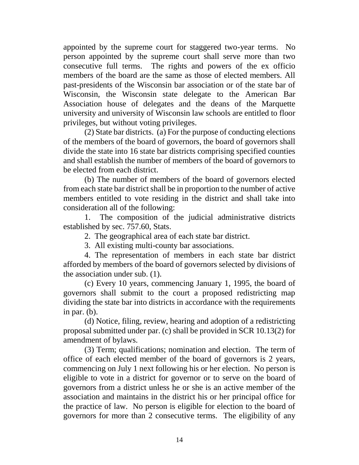appointed by the supreme court for staggered two-year terms. No person appointed by the supreme court shall serve more than two consecutive full terms. The rights and powers of the ex officio members of the board are the same as those of elected members. All past-presidents of the Wisconsin bar association or of the state bar of Wisconsin, the Wisconsin state delegate to the American Bar Association house of delegates and the deans of the Marquette university and university of Wisconsin law schools are entitled to floor privileges, but without voting privileges.

(2) State bar districts. (a) For the purpose of conducting elections of the members of the board of governors, the board of governors shall divide the state into 16 state bar districts comprising specified counties and shall establish the number of members of the board of governors to be elected from each district.

(b) The number of members of the board of governors elected from each state bar district shall be in proportion to the number of active members entitled to vote residing in the district and shall take into consideration all of the following:

1. The composition of the judicial administrative districts established by sec. 757.60, Stats.

2. The geographical area of each state bar district.

3. All existing multi-county bar associations.

4. The representation of members in each state bar district afforded by members of the board of governors selected by divisions of the association under sub. (1).

(c) Every 10 years, commencing January 1, 1995, the board of governors shall submit to the court a proposed redistricting map dividing the state bar into districts in accordance with the requirements in par. (b).

(d) Notice, filing, review, hearing and adoption of a redistricting proposal submitted under par. (c) shall be provided in SCR 10.13(2) for amendment of bylaws.

(3) Term; qualifications; nomination and election. The term of office of each elected member of the board of governors is 2 years, commencing on July 1 next following his or her election. No person is eligible to vote in a district for governor or to serve on the board of governors from a district unless he or she is an active member of the association and maintains in the district his or her principal office for the practice of law. No person is eligible for election to the board of governors for more than 2 consecutive terms. The eligibility of any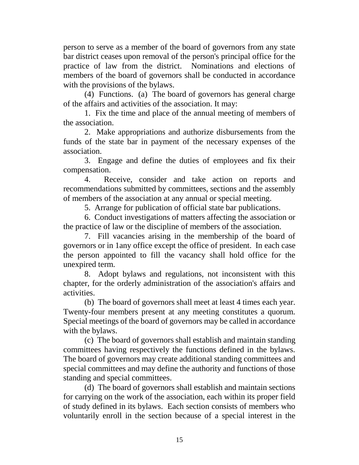person to serve as a member of the board of governors from any state bar district ceases upon removal of the person's principal office for the practice of law from the district. Nominations and elections of members of the board of governors shall be conducted in accordance with the provisions of the bylaws.

(4) Functions. (a) The board of governors has general charge of the affairs and activities of the association. It may:

1. Fix the time and place of the annual meeting of members of the association.

2. Make appropriations and authorize disbursements from the funds of the state bar in payment of the necessary expenses of the association.

3. Engage and define the duties of employees and fix their compensation.

4. Receive, consider and take action on reports and recommendations submitted by committees, sections and the assembly of members of the association at any annual or special meeting.

5. Arrange for publication of official state bar publications.

6. Conduct investigations of matters affecting the association or the practice of law or the discipline of members of the association.

7. Fill vacancies arising in the membership of the board of governors or in 1any office except the office of president. In each case the person appointed to fill the vacancy shall hold office for the unexpired term.

8. Adopt bylaws and regulations, not inconsistent with this chapter, for the orderly administration of the association's affairs and activities.

(b) The board of governors shall meet at least 4 times each year. Twenty-four members present at any meeting constitutes a quorum. Special meetings of the board of governors may be called in accordance with the bylaws.

(c) The board of governors shall establish and maintain standing committees having respectively the functions defined in the bylaws. The board of governors may create additional standing committees and special committees and may define the authority and functions of those standing and special committees.

(d) The board of governors shall establish and maintain sections for carrying on the work of the association, each within its proper field of study defined in its bylaws. Each section consists of members who voluntarily enroll in the section because of a special interest in the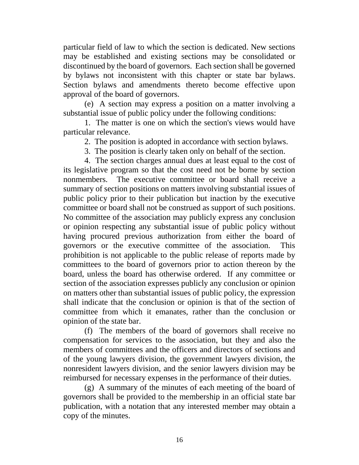particular field of law to which the section is dedicated. New sections may be established and existing sections may be consolidated or discontinued by the board of governors. Each section shall be governed by bylaws not inconsistent with this chapter or state bar bylaws. Section bylaws and amendments thereto become effective upon approval of the board of governors.

(e) A section may express a position on a matter involving a substantial issue of public policy under the following conditions:

1. The matter is one on which the section's views would have particular relevance.

2. The position is adopted in accordance with section bylaws.

3. The position is clearly taken only on behalf of the section.

4. The section charges annual dues at least equal to the cost of its legislative program so that the cost need not be borne by section nonmembers. The executive committee or board shall receive a summary of section positions on matters involving substantial issues of public policy prior to their publication but inaction by the executive committee or board shall not be construed as support of such positions. No committee of the association may publicly express any conclusion or opinion respecting any substantial issue of public policy without having procured previous authorization from either the board of governors or the executive committee of the association. This prohibition is not applicable to the public release of reports made by committees to the board of governors prior to action thereon by the board, unless the board has otherwise ordered. If any committee or section of the association expresses publicly any conclusion or opinion on matters other than substantial issues of public policy, the expression shall indicate that the conclusion or opinion is that of the section of committee from which it emanates, rather than the conclusion or opinion of the state bar.

(f) The members of the board of governors shall receive no compensation for services to the association, but they and also the members of committees and the officers and directors of sections and of the young lawyers division, the government lawyers division, the nonresident lawyers division, and the senior lawyers division may be reimbursed for necessary expenses in the performance of their duties.

(g) A summary of the minutes of each meeting of the board of governors shall be provided to the membership in an official state bar publication, with a notation that any interested member may obtain a copy of the minutes.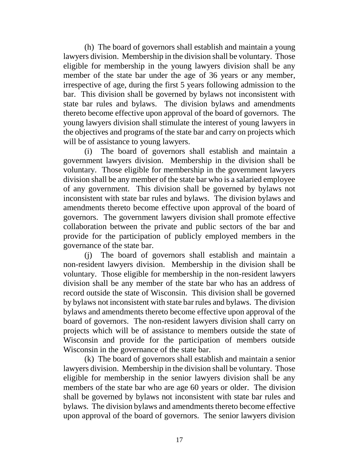(h) The board of governors shall establish and maintain a young lawyers division. Membership in the division shall be voluntary. Those eligible for membership in the young lawyers division shall be any member of the state bar under the age of 36 years or any member, irrespective of age, during the first 5 years following admission to the bar. This division shall be governed by bylaws not inconsistent with state bar rules and bylaws. The division bylaws and amendments thereto become effective upon approval of the board of governors. The young lawyers division shall stimulate the interest of young lawyers in the objectives and programs of the state bar and carry on projects which will be of assistance to young lawyers.

(i) The board of governors shall establish and maintain a government lawyers division. Membership in the division shall be voluntary. Those eligible for membership in the government lawyers division shall be any member of the state bar who is a salaried employee of any government. This division shall be governed by bylaws not inconsistent with state bar rules and bylaws. The division bylaws and amendments thereto become effective upon approval of the board of governors. The government lawyers division shall promote effective collaboration between the private and public sectors of the bar and provide for the participation of publicly employed members in the governance of the state bar.

(j) The board of governors shall establish and maintain a non-resident lawyers division. Membership in the division shall be voluntary. Those eligible for membership in the non-resident lawyers division shall be any member of the state bar who has an address of record outside the state of Wisconsin. This division shall be governed by bylaws not inconsistent with state bar rules and bylaws. The division bylaws and amendments thereto become effective upon approval of the board of governors. The non-resident lawyers division shall carry on projects which will be of assistance to members outside the state of Wisconsin and provide for the participation of members outside Wisconsin in the governance of the state bar.

(k) The board of governors shall establish and maintain a senior lawyers division. Membership in the division shall be voluntary. Those eligible for membership in the senior lawyers division shall be any members of the state bar who are age 60 years or older. The division shall be governed by bylaws not inconsistent with state bar rules and bylaws. The division bylaws and amendments thereto become effective upon approval of the board of governors. The senior lawyers division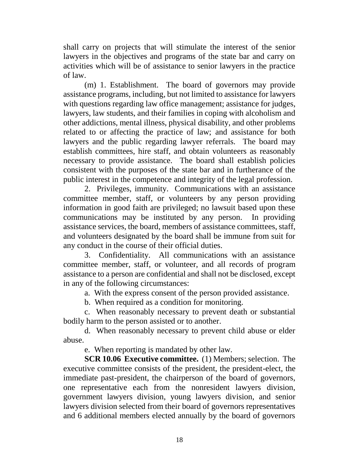shall carry on projects that will stimulate the interest of the senior lawyers in the objectives and programs of the state bar and carry on activities which will be of assistance to senior lawyers in the practice of law.

(m) 1. Establishment. The board of governors may provide assistance programs, including, but not limited to assistance for lawyers with questions regarding law office management; assistance for judges, lawyers, law students, and their families in coping with alcoholism and other addictions, mental illness, physical disability, and other problems related to or affecting the practice of law; and assistance for both lawyers and the public regarding lawyer referrals. The board may establish committees, hire staff, and obtain volunteers as reasonably necessary to provide assistance. The board shall establish policies consistent with the purposes of the state bar and in furtherance of the public interest in the competence and integrity of the legal profession.

2. Privileges, immunity. Communications with an assistance committee member, staff, or volunteers by any person providing information in good faith are privileged; no lawsuit based upon these communications may be instituted by any person. In providing assistance services, the board, members of assistance committees, staff, and volunteers designated by the board shall be immune from suit for any conduct in the course of their official duties.

3. Confidentiality. All communications with an assistance committee member, staff, or volunteer, and all records of program assistance to a person are confidential and shall not be disclosed, except in any of the following circumstances:

a. With the express consent of the person provided assistance.

b. When required as a condition for monitoring.

c. When reasonably necessary to prevent death or substantial bodily harm to the person assisted or to another.

d. When reasonably necessary to prevent child abuse or elder abuse.

e. When reporting is mandated by other law.

**SCR 10.06 Executive committee.** (1) Members; selection. The executive committee consists of the president, the president-elect, the immediate past-president, the chairperson of the board of governors, one representative each from the nonresident lawyers division, government lawyers division, young lawyers division, and senior lawyers division selected from their board of governors representatives and 6 additional members elected annually by the board of governors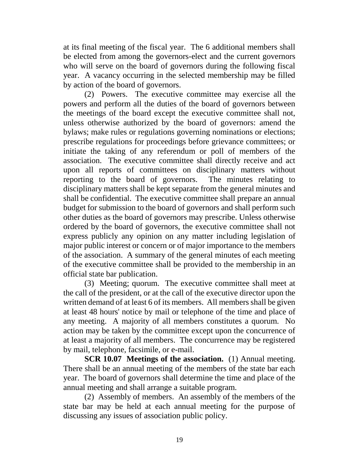at its final meeting of the fiscal year. The 6 additional members shall be elected from among the governors-elect and the current governors who will serve on the board of governors during the following fiscal year. A vacancy occurring in the selected membership may be filled by action of the board of governors.

(2) Powers. The executive committee may exercise all the powers and perform all the duties of the board of governors between the meetings of the board except the executive committee shall not, unless otherwise authorized by the board of governors: amend the bylaws; make rules or regulations governing nominations or elections; prescribe regulations for proceedings before grievance committees; or initiate the taking of any referendum or poll of members of the association. The executive committee shall directly receive and act upon all reports of committees on disciplinary matters without reporting to the board of governors. The minutes relating to disciplinary matters shall be kept separate from the general minutes and shall be confidential. The executive committee shall prepare an annual budget for submission to the board of governors and shall perform such other duties as the board of governors may prescribe. Unless otherwise ordered by the board of governors, the executive committee shall not express publicly any opinion on any matter including legislation of major public interest or concern or of major importance to the members of the association. A summary of the general minutes of each meeting of the executive committee shall be provided to the membership in an official state bar publication.

(3) Meeting; quorum. The executive committee shall meet at the call of the president, or at the call of the executive director upon the written demand of at least 6 of its members. All members shall be given at least 48 hours' notice by mail or telephone of the time and place of any meeting. A majority of all members constitutes a quorum. No action may be taken by the committee except upon the concurrence of at least a majority of all members. The concurrence may be registered by mail, telephone, facsimile, or e-mail.

**SCR 10.07 Meetings of the association.** (1) Annual meeting. There shall be an annual meeting of the members of the state bar each year. The board of governors shall determine the time and place of the annual meeting and shall arrange a suitable program.

(2) Assembly of members. An assembly of the members of the state bar may be held at each annual meeting for the purpose of discussing any issues of association public policy.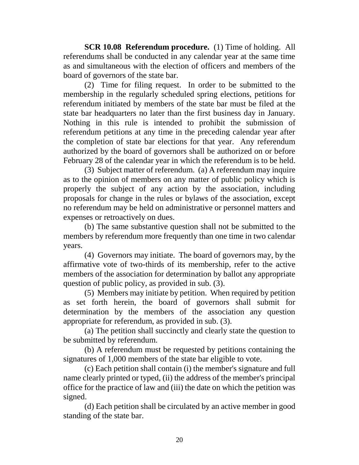**SCR 10.08 Referendum procedure.** (1) Time of holding. All referendums shall be conducted in any calendar year at the same time as and simultaneous with the election of officers and members of the board of governors of the state bar.

(2) Time for filing request. In order to be submitted to the membership in the regularly scheduled spring elections, petitions for referendum initiated by members of the state bar must be filed at the state bar headquarters no later than the first business day in January. Nothing in this rule is intended to prohibit the submission of referendum petitions at any time in the preceding calendar year after the completion of state bar elections for that year. Any referendum authorized by the board of governors shall be authorized on or before February 28 of the calendar year in which the referendum is to be held.

(3) Subject matter of referendum. (a) A referendum may inquire as to the opinion of members on any matter of public policy which is properly the subject of any action by the association, including proposals for change in the rules or bylaws of the association, except no referendum may be held on administrative or personnel matters and expenses or retroactively on dues.

(b) The same substantive question shall not be submitted to the members by referendum more frequently than one time in two calendar years.

(4) Governors may initiate. The board of governors may, by the affirmative vote of two-thirds of its membership, refer to the active members of the association for determination by ballot any appropriate question of public policy, as provided in sub. (3).

(5) Members may initiate by petition. When required by petition as set forth herein, the board of governors shall submit for determination by the members of the association any question appropriate for referendum, as provided in sub. (3).

(a) The petition shall succinctly and clearly state the question to be submitted by referendum.

(b) A referendum must be requested by petitions containing the signatures of 1,000 members of the state bar eligible to vote.

(c) Each petition shall contain (i) the member's signature and full name clearly printed or typed, (ii) the address of the member's principal office for the practice of law and (iii) the date on which the petition was signed.

(d) Each petition shall be circulated by an active member in good standing of the state bar.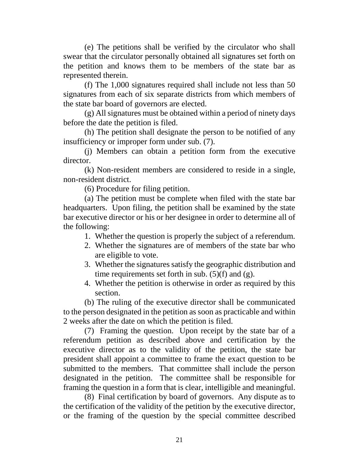(e) The petitions shall be verified by the circulator who shall swear that the circulator personally obtained all signatures set forth on the petition and knows them to be members of the state bar as represented therein.

(f) The 1,000 signatures required shall include not less than 50 signatures from each of six separate districts from which members of the state bar board of governors are elected.

(g) All signatures must be obtained within a period of ninety days before the date the petition is filed.

(h) The petition shall designate the person to be notified of any insufficiency or improper form under sub. (7).

(j) Members can obtain a petition form from the executive director.

(k) Non-resident members are considered to reside in a single, non-resident district.

(6) Procedure for filing petition.

(a) The petition must be complete when filed with the state bar headquarters. Upon filing, the petition shall be examined by the state bar executive director or his or her designee in order to determine all of the following:

- 1. Whether the question is properly the subject of a referendum.
- 2. Whether the signatures are of members of the state bar who are eligible to vote.
- 3. Whether the signatures satisfy the geographic distribution and time requirements set forth in sub.  $(5)(f)$  and  $(g)$ .
- 4. Whether the petition is otherwise in order as required by this section.

(b) The ruling of the executive director shall be communicated to the person designated in the petition as soon as practicable and within 2 weeks after the date on which the petition is filed.

(7) Framing the question. Upon receipt by the state bar of a referendum petition as described above and certification by the executive director as to the validity of the petition, the state bar president shall appoint a committee to frame the exact question to be submitted to the members. That committee shall include the person designated in the petition. The committee shall be responsible for framing the question in a form that is clear, intelligible and meaningful.

(8) Final certification by board of governors. Any dispute as to the certification of the validity of the petition by the executive director, or the framing of the question by the special committee described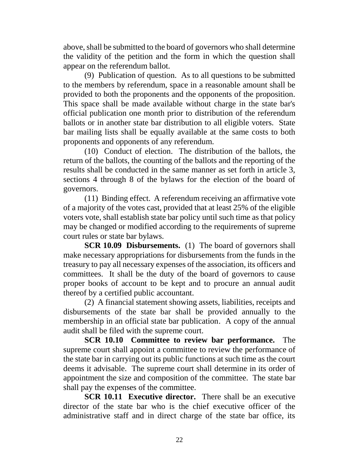above, shall be submitted to the board of governors who shall determine the validity of the petition and the form in which the question shall appear on the referendum ballot.

(9) Publication of question. As to all questions to be submitted to the members by referendum, space in a reasonable amount shall be provided to both the proponents and the opponents of the proposition. This space shall be made available without charge in the state bar's official publication one month prior to distribution of the referendum ballots or in another state bar distribution to all eligible voters. State bar mailing lists shall be equally available at the same costs to both proponents and opponents of any referendum.

(10) Conduct of election. The distribution of the ballots, the return of the ballots, the counting of the ballots and the reporting of the results shall be conducted in the same manner as set forth in article 3, sections 4 through 8 of the bylaws for the election of the board of governors.

(11) Binding effect. A referendum receiving an affirmative vote of a majority of the votes cast, provided that at least 25% of the eligible voters vote, shall establish state bar policy until such time as that policy may be changed or modified according to the requirements of supreme court rules or state bar bylaws.

**SCR 10.09 Disbursements.** (1) The board of governors shall make necessary appropriations for disbursements from the funds in the treasury to pay all necessary expenses of the association, its officers and committees. It shall be the duty of the board of governors to cause proper books of account to be kept and to procure an annual audit thereof by a certified public accountant.

(2) A financial statement showing assets, liabilities, receipts and disbursements of the state bar shall be provided annually to the membership in an official state bar publication. A copy of the annual audit shall be filed with the supreme court.

**SCR 10.10 Committee to review bar performance.** The supreme court shall appoint a committee to review the performance of the state bar in carrying out its public functions at such time as the court deems it advisable. The supreme court shall determine in its order of appointment the size and composition of the committee. The state bar shall pay the expenses of the committee.

**SCR 10.11 Executive director.** There shall be an executive director of the state bar who is the chief executive officer of the administrative staff and in direct charge of the state bar office, its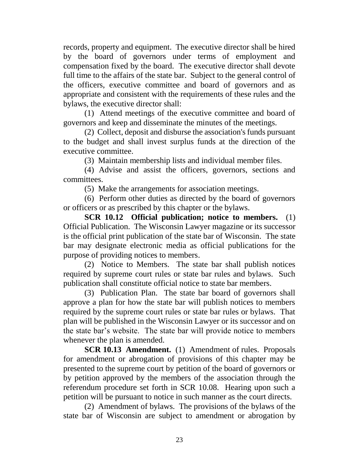records, property and equipment. The executive director shall be hired by the board of governors under terms of employment and compensation fixed by the board. The executive director shall devote full time to the affairs of the state bar. Subject to the general control of the officers, executive committee and board of governors and as appropriate and consistent with the requirements of these rules and the bylaws, the executive director shall:

(1) Attend meetings of the executive committee and board of governors and keep and disseminate the minutes of the meetings.

(2) Collect, deposit and disburse the association's funds pursuant to the budget and shall invest surplus funds at the direction of the executive committee.

(3) Maintain membership lists and individual member files.

(4) Advise and assist the officers, governors, sections and committees.

(5) Make the arrangements for association meetings.

(6) Perform other duties as directed by the board of governors or officers or as prescribed by this chapter or the bylaws.

**SCR 10.12 Official publication; notice to members.** (1) Official Publication. The Wisconsin Lawyer magazine or its successor is the official print publication of the state bar of Wisconsin. The state bar may designate electronic media as official publications for the purpose of providing notices to members.

(2) Notice to Members. The state bar shall publish notices required by supreme court rules or state bar rules and bylaws. Such publication shall constitute official notice to state bar members.

(3) Publication Plan. The state bar board of governors shall approve a plan for how the state bar will publish notices to members required by the supreme court rules or state bar rules or bylaws. That plan will be published in the Wisconsin Lawyer or its successor and on the state bar's website. The state bar will provide notice to members whenever the plan is amended.

**SCR 10.13 Amendment.** (1) Amendment of rules. Proposals for amendment or abrogation of provisions of this chapter may be presented to the supreme court by petition of the board of governors or by petition approved by the members of the association through the referendum procedure set forth in SCR 10.08. Hearing upon such a petition will be pursuant to notice in such manner as the court directs.

(2) Amendment of bylaws. The provisions of the bylaws of the state bar of Wisconsin are subject to amendment or abrogation by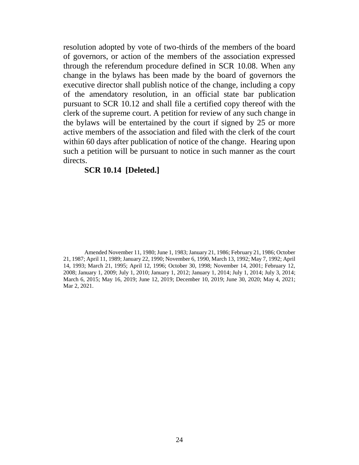resolution adopted by vote of two-thirds of the members of the board of governors, or action of the members of the association expressed through the referendum procedure defined in SCR 10.08. When any change in the bylaws has been made by the board of governors the executive director shall publish notice of the change, including a copy of the amendatory resolution, in an official state bar publication pursuant to SCR 10.12 and shall file a certified copy thereof with the clerk of the supreme court. A petition for review of any such change in the bylaws will be entertained by the court if signed by 25 or more active members of the association and filed with the clerk of the court within 60 days after publication of notice of the change. Hearing upon such a petition will be pursuant to notice in such manner as the court directs.

## **SCR 10.14 [Deleted.]**

Amended November 11, 1980; June 1, 1983; January 21, 1986; February 21, 1986; October 21, 1987; April 11, 1989; January 22, 1990; November 6, 1990, March 13, 1992; May 7, 1992; April 14, 1993; March 21, 1995; April 12, 1996; October 30, 1998; November 14, 2001; February 12, 2008; January 1, 2009; July 1, 2010; January 1, 2012; January 1, 2014; July 1, 2014; July 3, 2014; March 6, 2015; May 16, 2019; June 12, 2019; December 10, 2019; June 30, 2020; May 4, 2021; Mar 2, 2021.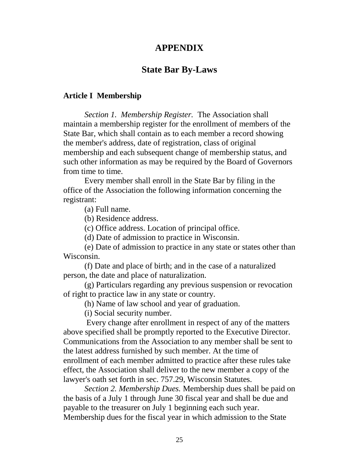# **APPENDIX**

## **State Bar By-Laws**

### **Article I Membership**

*Section 1. Membership Register.* The Association shall maintain a membership register for the enrollment of members of the State Bar, which shall contain as to each member a record showing the member's address, date of registration, class of original membership and each subsequent change of membership status, and such other information as may be required by the Board of Governors from time to time.

Every member shall enroll in the State Bar by filing in the office of the Association the following information concerning the registrant:

(a) Full name.

(b) Residence address.

(c) Office address. Location of principal office.

(d) Date of admission to practice in Wisconsin.

(e) Date of admission to practice in any state or states other than Wisconsin.

(f) Date and place of birth; and in the case of a naturalized person, the date and place of naturalization.

(g) Particulars regarding any previous suspension or revocation of right to practice law in any state or country.

(h) Name of law school and year of graduation.

(i) Social security number.

Every change after enrollment in respect of any of the matters above specified shall be promptly reported to the Executive Director. Communications from the Association to any member shall be sent to the latest address furnished by such member. At the time of enrollment of each member admitted to practice after these rules take effect, the Association shall deliver to the new member a copy of the lawyer's oath set forth in sec. 757.29, Wisconsin Statutes.

*Section 2. Membership Dues.* Membership dues shall be paid on the basis of a July 1 through June 30 fiscal year and shall be due and payable to the treasurer on July 1 beginning each such year. Membership dues for the fiscal year in which admission to the State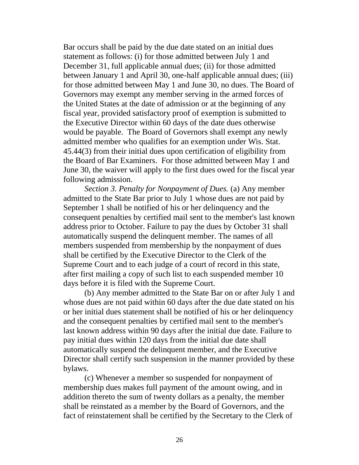Bar occurs shall be paid by the due date stated on an initial dues statement as follows: (i) for those admitted between July 1 and December 31, full applicable annual dues; (ii) for those admitted between January 1 and April 30, one-half applicable annual dues; (iii) for those admitted between May 1 and June 30, no dues. The Board of Governors may exempt any member serving in the armed forces of the United States at the date of admission or at the beginning of any fiscal year, provided satisfactory proof of exemption is submitted to the Executive Director within 60 days of the date dues otherwise would be payable. The Board of Governors shall exempt any newly admitted member who qualifies for an exemption under Wis. Stat. 45.44(3) from their initial dues upon certification of eligibility from the Board of Bar Examiners. For those admitted between May 1 and June 30, the waiver will apply to the first dues owed for the fiscal year following admission.

*Section 3. Penalty for Nonpayment of Dues.* (a) Any member admitted to the State Bar prior to July 1 whose dues are not paid by September 1 shall be notified of his or her delinquency and the consequent penalties by certified mail sent to the member's last known address prior to October. Failure to pay the dues by October 31 shall automatically suspend the delinquent member. The names of all members suspended from membership by the nonpayment of dues shall be certified by the Executive Director to the Clerk of the Supreme Court and to each judge of a court of record in this state, after first mailing a copy of such list to each suspended member 10 days before it is filed with the Supreme Court.

(b) Any member admitted to the State Bar on or after July 1 and whose dues are not paid within 60 days after the due date stated on his or her initial dues statement shall be notified of his or her delinquency and the consequent penalties by certified mail sent to the member's last known address within 90 days after the initial due date. Failure to pay initial dues within 120 days from the initial due date shall automatically suspend the delinquent member, and the Executive Director shall certify such suspension in the manner provided by these bylaws.

(c) Whenever a member so suspended for nonpayment of membership dues makes full payment of the amount owing, and in addition thereto the sum of twenty dollars as a penalty, the member shall be reinstated as a member by the Board of Governors, and the fact of reinstatement shall be certified by the Secretary to the Clerk of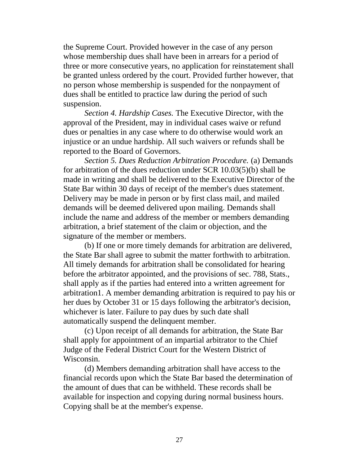the Supreme Court. Provided however in the case of any person whose membership dues shall have been in arrears for a period of three or more consecutive years, no application for reinstatement shall be granted unless ordered by the court. Provided further however, that no person whose membership is suspended for the nonpayment of dues shall be entitled to practice law during the period of such suspension.

*Section 4. Hardship Cases.* The Executive Director, with the approval of the President, may in individual cases waive or refund dues or penalties in any case where to do otherwise would work an injustice or an undue hardship. All such waivers or refunds shall be reported to the Board of Governors.

*Section 5. Dues Reduction Arbitration Procedure.* (a) Demands for arbitration of the dues reduction under SCR 10.03(5)(b) shall be made in writing and shall be delivered to the Executive Director of the State Bar within 30 days of receipt of the member's dues statement. Delivery may be made in person or by first class mail, and mailed demands will be deemed delivered upon mailing. Demands shall include the name and address of the member or members demanding arbitration, a brief statement of the claim or objection, and the signature of the member or members.

(b) If one or more timely demands for arbitration are delivered, the State Bar shall agree to submit the matter forthwith to arbitration. All timely demands for arbitration shall be consolidated for hearing before the arbitrator appointed, and the provisions of sec. 788, Stats., shall apply as if the parties had entered into a written agreement for arbitration1. A member demanding arbitration is required to pay his or her dues by October 31 or 15 days following the arbitrator's decision, whichever is later. Failure to pay dues by such date shall automatically suspend the delinquent member.

(c) Upon receipt of all demands for arbitration, the State Bar shall apply for appointment of an impartial arbitrator to the Chief Judge of the Federal District Court for the Western District of Wisconsin.

(d) Members demanding arbitration shall have access to the financial records upon which the State Bar based the determination of the amount of dues that can be withheld. These records shall be available for inspection and copying during normal business hours. Copying shall be at the member's expense.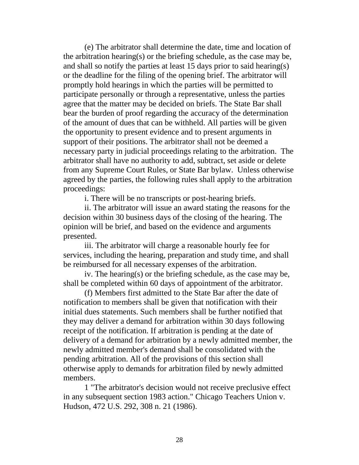(e) The arbitrator shall determine the date, time and location of the arbitration hearing(s) or the briefing schedule, as the case may be, and shall so notify the parties at least 15 days prior to said hearing(s) or the deadline for the filing of the opening brief. The arbitrator will promptly hold hearings in which the parties will be permitted to participate personally or through a representative, unless the parties agree that the matter may be decided on briefs. The State Bar shall bear the burden of proof regarding the accuracy of the determination of the amount of dues that can be withheld. All parties will be given the opportunity to present evidence and to present arguments in support of their positions. The arbitrator shall not be deemed a necessary party in judicial proceedings relating to the arbitration. The arbitrator shall have no authority to add, subtract, set aside or delete from any Supreme Court Rules, or State Bar bylaw. Unless otherwise agreed by the parties, the following rules shall apply to the arbitration proceedings:

i. There will be no transcripts or post-hearing briefs.

ii. The arbitrator will issue an award stating the reasons for the decision within 30 business days of the closing of the hearing. The opinion will be brief, and based on the evidence and arguments presented.

iii. The arbitrator will charge a reasonable hourly fee for services, including the hearing, preparation and study time, and shall be reimbursed for all necessary expenses of the arbitration.

iv. The hearing(s) or the briefing schedule, as the case may be, shall be completed within 60 days of appointment of the arbitrator.

(f) Members first admitted to the State Bar after the date of notification to members shall be given that notification with their initial dues statements. Such members shall be further notified that they may deliver a demand for arbitration within 30 days following receipt of the notification. If arbitration is pending at the date of delivery of a demand for arbitration by a newly admitted member, the newly admitted member's demand shall be consolidated with the pending arbitration. All of the provisions of this section shall otherwise apply to demands for arbitration filed by newly admitted members.

1 "The arbitrator's decision would not receive preclusive effect in any subsequent section 1983 action." Chicago Teachers Union v. Hudson, 472 U.S. 292, 308 n. 21 (1986).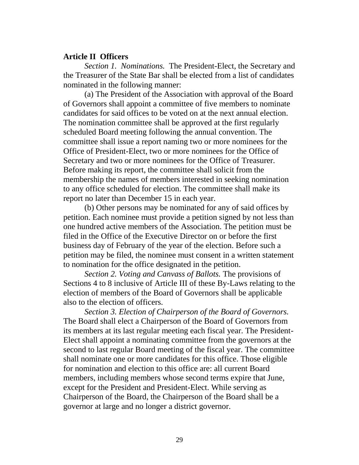### **Article II Officers**

*Section 1. Nominations.* The President-Elect, the Secretary and the Treasurer of the State Bar shall be elected from a list of candidates nominated in the following manner:

(a) The President of the Association with approval of the Board of Governors shall appoint a committee of five members to nominate candidates for said offices to be voted on at the next annual election. The nomination committee shall be approved at the first regularly scheduled Board meeting following the annual convention. The committee shall issue a report naming two or more nominees for the Office of President-Elect, two or more nominees for the Office of Secretary and two or more nominees for the Office of Treasurer. Before making its report, the committee shall solicit from the membership the names of members interested in seeking nomination to any office scheduled for election. The committee shall make its report no later than December 15 in each year.

(b) Other persons may be nominated for any of said offices by petition. Each nominee must provide a petition signed by not less than one hundred active members of the Association. The petition must be filed in the Office of the Executive Director on or before the first business day of February of the year of the election. Before such a petition may be filed, the nominee must consent in a written statement to nomination for the office designated in the petition.

*Section 2. Voting and Canvass of Ballots.* The provisions of Sections 4 to 8 inclusive of Article III of these By-Laws relating to the election of members of the Board of Governors shall be applicable also to the election of officers.

*Section 3. Election of Chairperson of the Board of Governors.* The Board shall elect a Chairperson of the Board of Governors from its members at its last regular meeting each fiscal year. The President-Elect shall appoint a nominating committee from the governors at the second to last regular Board meeting of the fiscal year. The committee shall nominate one or more candidates for this office. Those eligible for nomination and election to this office are: all current Board members, including members whose second terms expire that June, except for the President and President-Elect. While serving as Chairperson of the Board, the Chairperson of the Board shall be a governor at large and no longer a district governor.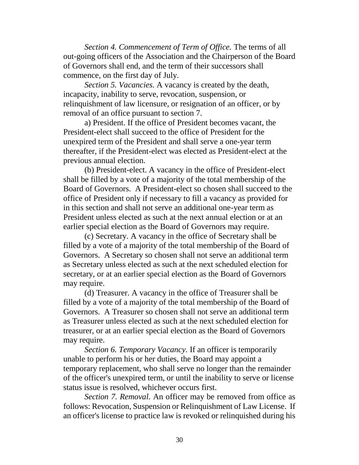*Section 4. Commencement of Term of Office.* The terms of all out-going officers of the Association and the Chairperson of the Board of Governors shall end, and the term of their successors shall commence, on the first day of July.

*Section 5. Vacancies.* A vacancy is created by the death, incapacity, inability to serve, revocation, suspension, or relinquishment of law licensure, or resignation of an officer, or by removal of an office pursuant to section 7.

a) President. If the office of President becomes vacant, the President-elect shall succeed to the office of President for the unexpired term of the President and shall serve a one-year term thereafter, if the President-elect was elected as President-elect at the previous annual election.

(b) President-elect. A vacancy in the office of President-elect shall be filled by a vote of a majority of the total membership of the Board of Governors. A President-elect so chosen shall succeed to the office of President only if necessary to fill a vacancy as provided for in this section and shall not serve an additional one-year term as President unless elected as such at the next annual election or at an earlier special election as the Board of Governors may require.

(c) Secretary. A vacancy in the office of Secretary shall be filled by a vote of a majority of the total membership of the Board of Governors. A Secretary so chosen shall not serve an additional term as Secretary unless elected as such at the next scheduled election for secretary, or at an earlier special election as the Board of Governors may require.

(d) Treasurer. A vacancy in the office of Treasurer shall be filled by a vote of a majority of the total membership of the Board of Governors. A Treasurer so chosen shall not serve an additional term as Treasurer unless elected as such at the next scheduled election for treasurer, or at an earlier special election as the Board of Governors may require.

*Section 6. Temporary Vacancy.* If an officer is temporarily unable to perform his or her duties, the Board may appoint a temporary replacement, who shall serve no longer than the remainder of the officer's unexpired term, or until the inability to serve or license status issue is resolved, whichever occurs first.

*Section 7. Removal.* An officer may be removed from office as follows: Revocation, Suspension or Relinquishment of Law License. If an officer's license to practice law is revoked or relinquished during his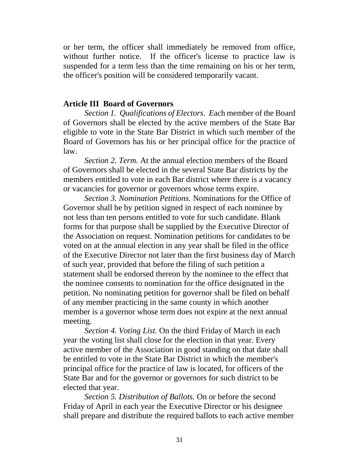or her term, the officer shall immediately be removed from office, without further notice. If the officer's license to practice law is suspended for a term less than the time remaining on his or her term, the officer's position will be considered temporarily vacant.

## **Article III Board of Governors**

*Section 1. Qualifications of Electors. E*ach member of the Board of Governors shall be elected by the active members of the State Bar eligible to vote in the State Bar District in which such member of the Board of Governors has his or her principal office for the practice of law.

*Section 2. Term.* At the annual election members of the Board of Governors shall be elected in the several State Bar districts by the members entitled to vote in each Bar district where there is a vacancy or vacancies for governor or governors whose terms expire.

*Section 3. Nomination Petitions.* Nominations for the Office of Governor shall be by petition signed in respect of each nominee by not less than ten persons entitled to vote for such candidate. Blank forms for that purpose shall be supplied by the Executive Director of the Association on request. Nomination petitions for candidates to be voted on at the annual election in any year shall be filed in the office of the Executive Director not later than the first business day of March of such year, provided that before the filing of such petition a statement shall be endorsed thereon by the nominee to the effect that the nominee consents to nomination for the office designated in the petition. No nominating petition for governor shall be filed on behalf of any member practicing in the same county in which another member is a governor whose term does not expire at the next annual meeting.

*Section 4. Voting List.* On the third Friday of March in each year the voting list shall close for the election in that year. Every active member of the Association in good standing on that date shall be entitled to vote in the State Bar District in which the member's principal office for the practice of law is located, for officers of the State Bar and for the governor or governors for such district to be elected that year.

*Section 5. Distribution of Ballots.* On or before the second Friday of April in each year the Executive Director or his designee shall prepare and distribute the required ballots to each active member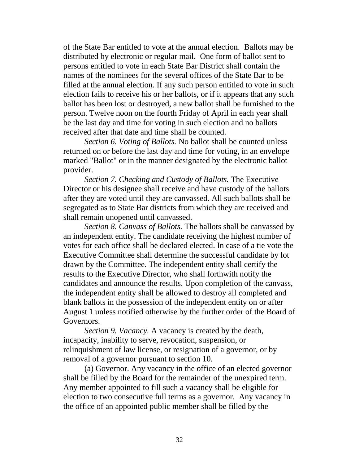of the State Bar entitled to vote at the annual election. Ballots may be distributed by electronic or regular mail. One form of ballot sent to persons entitled to vote in each State Bar District shall contain the names of the nominees for the several offices of the State Bar to be filled at the annual election. If any such person entitled to vote in such election fails to receive his or her ballots, or if it appears that any such ballot has been lost or destroyed, a new ballot shall be furnished to the person. Twelve noon on the fourth Friday of April in each year shall be the last day and time for voting in such election and no ballots received after that date and time shall be counted.

*Section 6. Voting of Ballots.* No ballot shall be counted unless returned on or before the last day and time for voting, in an envelope marked "Ballot" or in the manner designated by the electronic ballot provider.

*Section 7. Checking and Custody of Ballots.* The Executive Director or his designee shall receive and have custody of the ballots after they are voted until they are canvassed. All such ballots shall be segregated as to State Bar districts from which they are received and shall remain unopened until canvassed.

*Section 8. Canvass of Ballots.* The ballots shall be canvassed by an independent entity. The candidate receiving the highest number of votes for each office shall be declared elected. In case of a tie vote the Executive Committee shall determine the successful candidate by lot drawn by the Committee. The independent entity shall certify the results to the Executive Director, who shall forthwith notify the candidates and announce the results. Upon completion of the canvass, the independent entity shall be allowed to destroy all completed and blank ballots in the possession of the independent entity on or after August 1 unless notified otherwise by the further order of the Board of Governors.

*Section 9. Vacancy.* A vacancy is created by the death, incapacity, inability to serve, revocation, suspension, or relinquishment of law license, or resignation of a governor, or by removal of a governor pursuant to section 10.

(a) Governor. Any vacancy in the office of an elected governor shall be filled by the Board for the remainder of the unexpired term. Any member appointed to fill such a vacancy shall be eligible for election to two consecutive full terms as a governor. Any vacancy in the office of an appointed public member shall be filled by the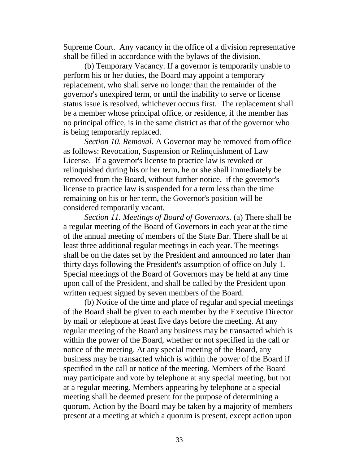Supreme Court. Any vacancy in the office of a division representative shall be filled in accordance with the bylaws of the division.

(b) Temporary Vacancy. If a governor is temporarily unable to perform his or her duties, the Board may appoint a temporary replacement, who shall serve no longer than the remainder of the governor's unexpired term, or until the inability to serve or license status issue is resolved, whichever occurs first. The replacement shall be a member whose principal office, or residence, if the member has no principal office, is in the same district as that of the governor who is being temporarily replaced.

*Section 10. Removal.* A Governor may be removed from office as follows: Revocation, Suspension or Relinquishment of Law License. If a governor's license to practice law is revoked or relinquished during his or her term, he or she shall immediately be removed from the Board, without further notice. if the governor's license to practice law is suspended for a term less than the time remaining on his or her term, the Governor's position will be considered temporarily vacant.

*Section 11. Meetings of Board of Governors.* (a) There shall be a regular meeting of the Board of Governors in each year at the time of the annual meeting of members of the State Bar. There shall be at least three additional regular meetings in each year. The meetings shall be on the dates set by the President and announced no later than thirty days following the President's assumption of office on July 1. Special meetings of the Board of Governors may be held at any time upon call of the President, and shall be called by the President upon written request signed by seven members of the Board.

(b) Notice of the time and place of regular and special meetings of the Board shall be given to each member by the Executive Director by mail or telephone at least five days before the meeting. At any regular meeting of the Board any business may be transacted which is within the power of the Board, whether or not specified in the call or notice of the meeting. At any special meeting of the Board, any business may be transacted which is within the power of the Board if specified in the call or notice of the meeting. Members of the Board may participate and vote by telephone at any special meeting, but not at a regular meeting. Members appearing by telephone at a special meeting shall be deemed present for the purpose of determining a quorum. Action by the Board may be taken by a majority of members present at a meeting at which a quorum is present, except action upon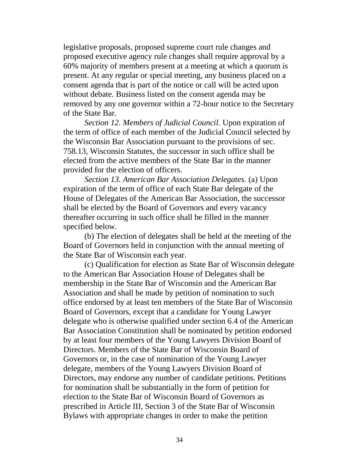legislative proposals, proposed supreme court rule changes and proposed executive agency rule changes shall require approval by a 60% majority of members present at a meeting at which a quorum is present. At any regular or special meeting, any business placed on a consent agenda that is part of the notice or call will be acted upon without debate. Business listed on the consent agenda may be removed by any one governor within a 72-hour notice to the Secretary of the State Bar.

*Section 12. Members of Judicial Council.* Upon expiration of the term of office of each member of the Judicial Council selected by the Wisconsin Bar Association pursuant to the provisions of sec. 758.13, Wisconsin Statutes, the successor in such office shall be elected from the active members of the State Bar in the manner provided for the election of officers.

*Section 13. American Bar Association Delegates.* (a) Upon expiration of the term of office of each State Bar delegate of the House of Delegates of the American Bar Association, the successor shall be elected by the Board of Governors and every vacancy thereafter occurring in such office shall be filled in the manner specified below.

(b) The election of delegates shall be held at the meeting of the Board of Governors held in conjunction with the annual meeting of the State Bar of Wisconsin each year.

(c) Qualification for election as State Bar of Wisconsin delegate to the American Bar Association House of Delegates shall be membership in the State Bar of Wisconsin and the American Bar Association and shall be made by petition of nomination to such office endorsed by at least ten members of the State Bar of Wisconsin Board of Governors, except that a candidate for Young Lawyer delegate who is otherwise qualified under section 6.4 of the American Bar Association Constitution shall be nominated by petition endorsed by at least four members of the Young Lawyers Division Board of Directors. Members of the State Bar of Wisconsin Board of Governors or, in the case of nomination of the Young Lawyer delegate, members of the Young Lawyers Division Board of Directors, may endorse any number of candidate petitions. Petitions for nomination shall be substantially in the form of petition for election to the State Bar of Wisconsin Board of Governors as prescribed in Article III, Section 3 of the State Bar of Wisconsin Bylaws with appropriate changes in order to make the petition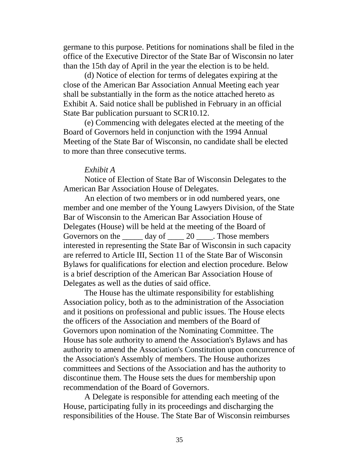germane to this purpose. Petitions for nominations shall be filed in the office of the Executive Director of the State Bar of Wisconsin no later than the 15th day of April in the year the election is to be held.

(d) Notice of election for terms of delegates expiring at the close of the American Bar Association Annual Meeting each year shall be substantially in the form as the notice attached hereto as Exhibit A. Said notice shall be published in February in an official State Bar publication pursuant to SCR10.12.

(e) Commencing with delegates elected at the meeting of the Board of Governors held in conjunction with the 1994 Annual Meeting of the State Bar of Wisconsin, no candidate shall be elected to more than three consecutive terms.

### *Exhibit A*

Notice of Election of State Bar of Wisconsin Delegates to the American Bar Association House of Delegates.

An election of two members or in odd numbered years, one member and one member of the Young Lawyers Division, of the State Bar of Wisconsin to the American Bar Association House of Delegates (House) will be held at the meeting of the Board of Governors on the  $\frac{1}{20}$   $\frac{20}{100}$   $\frac{20}{100}$   $\frac{20}{100}$   $\frac{20}{100}$   $\frac{20}{100}$   $\frac{20}{100}$   $\frac{20}{100}$ interested in representing the State Bar of Wisconsin in such capacity are referred to Article III, Section 11 of the State Bar of Wisconsin Bylaws for qualifications for election and election procedure. Below is a brief description of the American Bar Association House of Delegates as well as the duties of said office.

The House has the ultimate responsibility for establishing Association policy, both as to the administration of the Association and it positions on professional and public issues. The House elects the officers of the Association and members of the Board of Governors upon nomination of the Nominating Committee. The House has sole authority to amend the Association's Bylaws and has authority to amend the Association's Constitution upon concurrence of the Association's Assembly of members. The House authorizes committees and Sections of the Association and has the authority to discontinue them. The House sets the dues for membership upon recommendation of the Board of Governors.

A Delegate is responsible for attending each meeting of the House, participating fully in its proceedings and discharging the responsibilities of the House. The State Bar of Wisconsin reimburses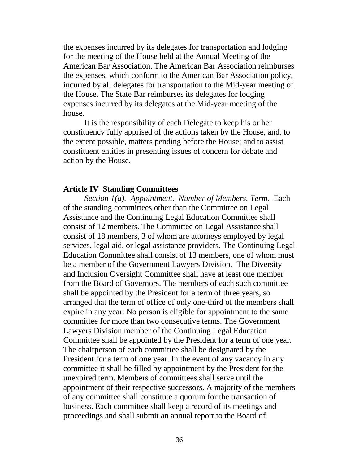the expenses incurred by its delegates for transportation and lodging for the meeting of the House held at the Annual Meeting of the American Bar Association. The American Bar Association reimburses the expenses, which conform to the American Bar Association policy, incurred by all delegates for transportation to the Mid-year meeting of the House. The State Bar reimburses its delegates for lodging expenses incurred by its delegates at the Mid-year meeting of the house.

It is the responsibility of each Delegate to keep his or her constituency fully apprised of the actions taken by the House, and, to the extent possible, matters pending before the House; and to assist constituent entities in presenting issues of concern for debate and action by the House.

## **Article IV Standing Committees**

*Section 1(a). Appointment. Number of Members. Term.* Each of the standing committees other than the Committee on Legal Assistance and the Continuing Legal Education Committee shall consist of 12 members. The Committee on Legal Assistance shall consist of 18 members, 3 of whom are attorneys employed by legal services, legal aid, or legal assistance providers. The Continuing Legal Education Committee shall consist of 13 members, one of whom must be a member of the Government Lawyers Division. The Diversity and Inclusion Oversight Committee shall have at least one member from the Board of Governors. The members of each such committee shall be appointed by the President for a term of three years, so arranged that the term of office of only one-third of the members shall expire in any year. No person is eligible for appointment to the same committee for more than two consecutive terms. The Government Lawyers Division member of the Continuing Legal Education Committee shall be appointed by the President for a term of one year. The chairperson of each committee shall be designated by the President for a term of one year. In the event of any vacancy in any committee it shall be filled by appointment by the President for the unexpired term. Members of committees shall serve until the appointment of their respective successors. A majority of the members of any committee shall constitute a quorum for the transaction of business. Each committee shall keep a record of its meetings and proceedings and shall submit an annual report to the Board of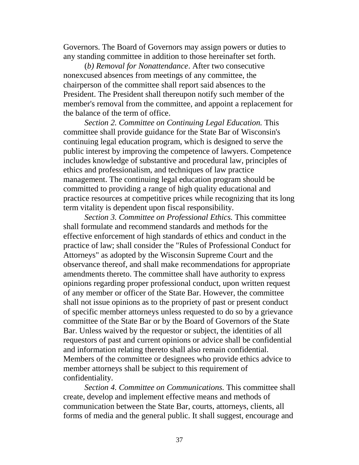Governors. The Board of Governors may assign powers or duties to any standing committee in addition to those hereinafter set forth.

(*b) Removal for Nonattendance*. After two consecutive nonexcused absences from meetings of any committee, the chairperson of the committee shall report said absences to the President. The President shall thereupon notify such member of the member's removal from the committee, and appoint a replacement for the balance of the term of office.

*Section 2. Committee on Continuing Legal Education.* This committee shall provide guidance for the State Bar of Wisconsin's continuing legal education program, which is designed to serve the public interest by improving the competence of lawyers. Competence includes knowledge of substantive and procedural law, principles of ethics and professionalism, and techniques of law practice management. The continuing legal education program should be committed to providing a range of high quality educational and practice resources at competitive prices while recognizing that its long term vitality is dependent upon fiscal responsibility.

*Section 3. Committee on Professional Ethics.* This committee shall formulate and recommend standards and methods for the effective enforcement of high standards of ethics and conduct in the practice of law; shall consider the "Rules of Professional Conduct for Attorneys" as adopted by the Wisconsin Supreme Court and the observance thereof, and shall make recommendations for appropriate amendments thereto. The committee shall have authority to express opinions regarding proper professional conduct, upon written request of any member or officer of the State Bar. However, the committee shall not issue opinions as to the propriety of past or present conduct of specific member attorneys unless requested to do so by a grievance committee of the State Bar or by the Board of Governors of the State Bar. Unless waived by the requestor or subject, the identities of all requestors of past and current opinions or advice shall be confidential and information relating thereto shall also remain confidential. Members of the committee or designees who provide ethics advice to member attorneys shall be subject to this requirement of confidentiality.

*Section 4. Committee on Communications.* This committee shall create, develop and implement effective means and methods of communication between the State Bar, courts, attorneys, clients, all forms of media and the general public. It shall suggest, encourage and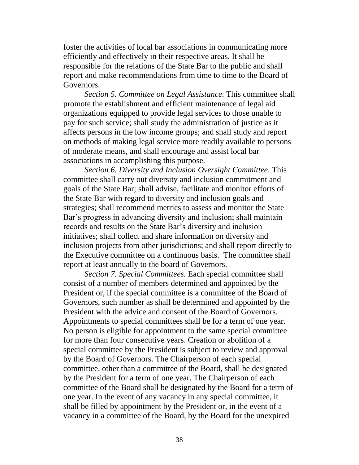foster the activities of local bar associations in communicating more efficiently and effectively in their respective areas. It shall be responsible for the relations of the State Bar to the public and shall report and make recommendations from time to time to the Board of Governors.

*Section 5. Committee on Legal Assistance.* This committee shall promote the establishment and efficient maintenance of legal aid organizations equipped to provide legal services to those unable to pay for such service; shall study the administration of justice as it affects persons in the low income groups; and shall study and report on methods of making legal service more readily available to persons of moderate means, and shall encourage and assist local bar associations in accomplishing this purpose.

*Section 6. Diversity and Inclusion Oversight Committee.* This committee shall carry out diversity and inclusion commitment and goals of the State Bar; shall advise, facilitate and monitor efforts of the State Bar with regard to diversity and inclusion goals and strategies; shall recommend metrics to assess and monitor the State Bar's progress in advancing diversity and inclusion; shall maintain records and results on the State Bar's diversity and inclusion initiatives; shall collect and share information on diversity and inclusion projects from other jurisdictions; and shall report directly to the Executive committee on a continuous basis. The committee shall report at least annually to the board of Governors.

*Section 7. Special Committees.* Each special committee shall consist of a number of members determined and appointed by the President or, if the special committee is a committee of the Board of Governors, such number as shall be determined and appointed by the President with the advice and consent of the Board of Governors. Appointments to special committees shall be for a term of one year. No person is eligible for appointment to the same special committee for more than four consecutive years. Creation or abolition of a special committee by the President is subject to review and approval by the Board of Governors. The Chairperson of each special committee, other than a committee of the Board, shall be designated by the President for a term of one year. The Chairperson of each committee of the Board shall be designated by the Board for a term of one year. In the event of any vacancy in any special committee, it shall be filled by appointment by the President or, in the event of a vacancy in a committee of the Board, by the Board for the unexpired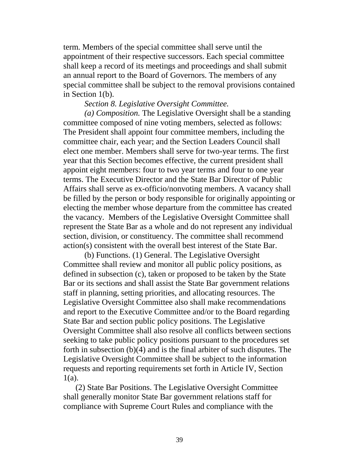term. Members of the special committee shall serve until the appointment of their respective successors. Each special committee shall keep a record of its meetings and proceedings and shall submit an annual report to the Board of Governors. The members of any special committee shall be subject to the removal provisions contained in Section 1(b).

### *Section 8. Legislative Oversight Committee.*

*(a) Composition.* The Legislative Oversight shall be a standing committee composed of nine voting members, selected as follows: The President shall appoint four committee members, including the committee chair, each year; and the Section Leaders Council shall elect one member. Members shall serve for two-year terms. The first year that this Section becomes effective, the current president shall appoint eight members: four to two year terms and four to one year terms. The Executive Director and the State Bar Director of Public Affairs shall serve as ex-officio/nonvoting members. A vacancy shall be filled by the person or body responsible for originally appointing or electing the member whose departure from the committee has created the vacancy. Members of the Legislative Oversight Committee shall represent the State Bar as a whole and do not represent any individual section, division, or constituency. The committee shall recommend action(s) consistent with the overall best interest of the State Bar.

(b) Functions. (1) General. The Legislative Oversight Committee shall review and monitor all public policy positions, as defined in subsection (c), taken or proposed to be taken by the State Bar or its sections and shall assist the State Bar government relations staff in planning, setting priorities, and allocating resources. The Legislative Oversight Committee also shall make recommendations and report to the Executive Committee and/or to the Board regarding State Bar and section public policy positions. The Legislative Oversight Committee shall also resolve all conflicts between sections seeking to take public policy positions pursuant to the procedures set forth in subsection (b)(4) and is the final arbiter of such disputes. The Legislative Oversight Committee shall be subject to the information requests and reporting requirements set forth in Article IV, Section 1(a).

 (2) State Bar Positions. The Legislative Oversight Committee shall generally monitor State Bar government relations staff for compliance with Supreme Court Rules and compliance with the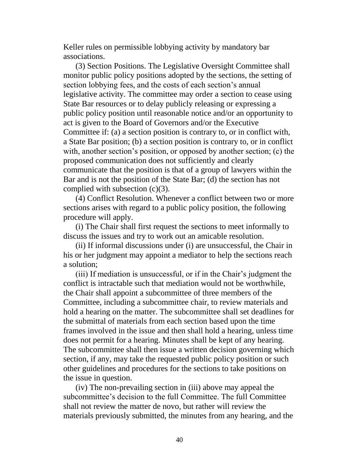Keller rules on permissible lobbying activity by mandatory bar associations.

 (3) Section Positions. The Legislative Oversight Committee shall monitor public policy positions adopted by the sections, the setting of section lobbying fees, and the costs of each section's annual legislative activity. The committee may order a section to cease using State Bar resources or to delay publicly releasing or expressing a public policy position until reasonable notice and/or an opportunity to act is given to the Board of Governors and/or the Executive Committee if: (a) a section position is contrary to, or in conflict with, a State Bar position; (b) a section position is contrary to, or in conflict with, another section's position, or opposed by another section; (c) the proposed communication does not sufficiently and clearly communicate that the position is that of a group of lawyers within the Bar and is not the position of the State Bar; (d) the section has not complied with subsection (c)(3).

 (4) Conflict Resolution. Whenever a conflict between two or more sections arises with regard to a public policy position, the following procedure will apply.

 (i) The Chair shall first request the sections to meet informally to discuss the issues and try to work out an amicable resolution.

 (ii) If informal discussions under (i) are unsuccessful, the Chair in his or her judgment may appoint a mediator to help the sections reach a solution;

 (iii) If mediation is unsuccessful, or if in the Chair's judgment the conflict is intractable such that mediation would not be worthwhile, the Chair shall appoint a subcommittee of three members of the Committee, including a subcommittee chair, to review materials and hold a hearing on the matter. The subcommittee shall set deadlines for the submittal of materials from each section based upon the time frames involved in the issue and then shall hold a hearing, unless time does not permit for a hearing. Minutes shall be kept of any hearing. The subcommittee shall then issue a written decision governing which section, if any, may take the requested public policy position or such other guidelines and procedures for the sections to take positions on the issue in question.

 (iv) The non-prevailing section in (iii) above may appeal the subcommittee's decision to the full Committee. The full Committee shall not review the matter de novo, but rather will review the materials previously submitted, the minutes from any hearing, and the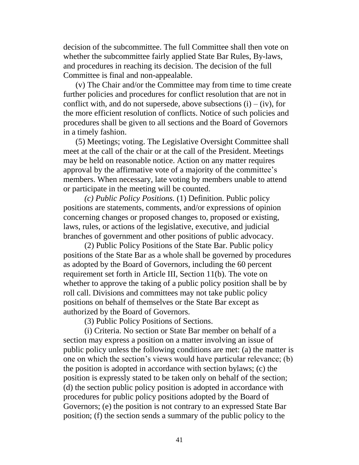decision of the subcommittee. The full Committee shall then vote on whether the subcommittee fairly applied State Bar Rules, By-laws, and procedures in reaching its decision. The decision of the full Committee is final and non-appealable.

 (v) The Chair and/or the Committee may from time to time create further policies and procedures for conflict resolution that are not in conflict with, and do not supersede, above subsections  $(i) - (iv)$ , for the more efficient resolution of conflicts. Notice of such policies and procedures shall be given to all sections and the Board of Governors in a timely fashion.

 (5) Meetings; voting. The Legislative Oversight Committee shall meet at the call of the chair or at the call of the President. Meetings may be held on reasonable notice. Action on any matter requires approval by the affirmative vote of a majority of the committee's members. When necessary, late voting by members unable to attend or participate in the meeting will be counted.

*(c) Public Policy Positions.* (1) Definition. Public policy positions are statements, comments, and/or expressions of opinion concerning changes or proposed changes to, proposed or existing, laws, rules, or actions of the legislative, executive, and judicial branches of government and other positions of public advocacy.

(2) Public Policy Positions of the State Bar. Public policy positions of the State Bar as a whole shall be governed by procedures as adopted by the Board of Governors, including the 60 percent requirement set forth in Article III, Section 11(b). The vote on whether to approve the taking of a public policy position shall be by roll call. Divisions and committees may not take public policy positions on behalf of themselves or the State Bar except as authorized by the Board of Governors.

(3) Public Policy Positions of Sections.

(i) Criteria. No section or State Bar member on behalf of a section may express a position on a matter involving an issue of public policy unless the following conditions are met: (a) the matter is one on which the section's views would have particular relevance; (b) the position is adopted in accordance with section bylaws; (c) the position is expressly stated to be taken only on behalf of the section; (d) the section public policy position is adopted in accordance with procedures for public policy positions adopted by the Board of Governors; (e) the position is not contrary to an expressed State Bar position; (f) the section sends a summary of the public policy to the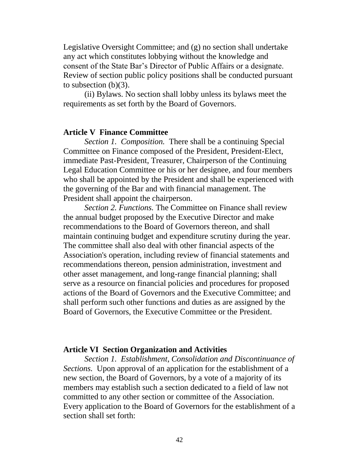Legislative Oversight Committee; and (g) no section shall undertake any act which constitutes lobbying without the knowledge and consent of the State Bar's Director of Public Affairs or a designate. Review of section public policy positions shall be conducted pursuant to subsection  $(b)(3)$ .

(ii) Bylaws. No section shall lobby unless its bylaws meet the requirements as set forth by the Board of Governors.

#### **Article V Finance Committee**

*Section 1. Composition.* There shall be a continuing Special Committee on Finance composed of the President, President-Elect, immediate Past-President, Treasurer, Chairperson of the Continuing Legal Education Committee or his or her designee, and four members who shall be appointed by the President and shall be experienced with the governing of the Bar and with financial management. The President shall appoint the chairperson.

*Section 2. Functions.* The Committee on Finance shall review the annual budget proposed by the Executive Director and make recommendations to the Board of Governors thereon, and shall maintain continuing budget and expenditure scrutiny during the year. The committee shall also deal with other financial aspects of the Association's operation, including review of financial statements and recommendations thereon, pension administration, investment and other asset management, and long-range financial planning; shall serve as a resource on financial policies and procedures for proposed actions of the Board of Governors and the Executive Committee; and shall perform such other functions and duties as are assigned by the Board of Governors, the Executive Committee or the President.

#### **Article VI Section Organization and Activities**

*Section 1. Establishment, Consolidation and Discontinuance of Sections.* Upon approval of an application for the establishment of a new section, the Board of Governors, by a vote of a majority of its members may establish such a section dedicated to a field of law not committed to any other section or committee of the Association. Every application to the Board of Governors for the establishment of a section shall set forth: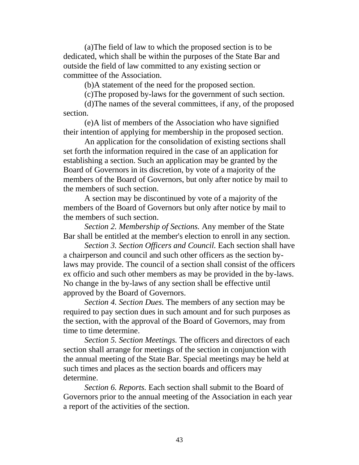(a)The field of law to which the proposed section is to be dedicated, which shall be within the purposes of the State Bar and outside the field of law committed to any existing section or committee of the Association.

(b)A statement of the need for the proposed section.

(c)The proposed by-laws for the government of such section.

(d)The names of the several committees, if any, of the proposed section.

(e)A list of members of the Association who have signified their intention of applying for membership in the proposed section.

An application for the consolidation of existing sections shall set forth the information required in the case of an application for establishing a section. Such an application may be granted by the Board of Governors in its discretion, by vote of a majority of the members of the Board of Governors, but only after notice by mail to the members of such section.

A section may be discontinued by vote of a majority of the members of the Board of Governors but only after notice by mail to the members of such section.

*Section 2. Membership of Sections.* Any member of the State Bar shall be entitled at the member's election to enroll in any section.

*Section 3. Section Officers and Council.* Each section shall have a chairperson and council and such other officers as the section bylaws may provide. The council of a section shall consist of the officers ex officio and such other members as may be provided in the by-laws. No change in the by-laws of any section shall be effective until approved by the Board of Governors.

*Section 4. Section Dues.* The members of any section may be required to pay section dues in such amount and for such purposes as the section, with the approval of the Board of Governors, may from time to time determine.

*Section 5. Section Meetings.* The officers and directors of each section shall arrange for meetings of the section in conjunction with the annual meeting of the State Bar. Special meetings may be held at such times and places as the section boards and officers may determine.

*Section 6. Reports.* Each section shall submit to the Board of Governors prior to the annual meeting of the Association in each year a report of the activities of the section.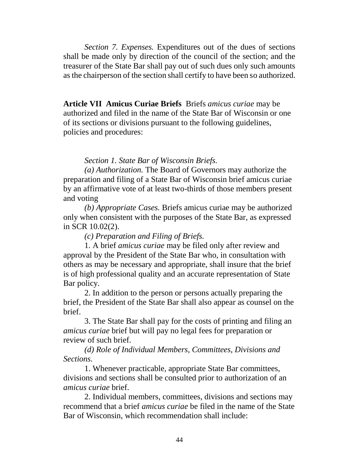*Section 7. Expenses.* Expenditures out of the dues of sections shall be made only by direction of the council of the section; and the treasurer of the State Bar shall pay out of such dues only such amounts as the chairperson of the section shall certify to have been so authorized.

**Article VII Amicus Curiae Briefs** Briefs *amicus curiae* may be authorized and filed in the name of the State Bar of Wisconsin or one of its sections or divisions pursuant to the following guidelines, policies and procedures:

## *Section 1. State Bar of Wisconsin Briefs.*

*(a) Authorization.* The Board of Governors may authorize the preparation and filing of a State Bar of Wisconsin brief amicus curiae by an affirmative vote of at least two-thirds of those members present and voting

*(b) Appropriate Cases.* Briefs amicus curiae may be authorized only when consistent with the purposes of the State Bar, as expressed in SCR 10.02(2).

*(c) Preparation and Filing of Briefs.*

1. A brief *amicus curiae* may be filed only after review and approval by the President of the State Bar who, in consultation with others as may be necessary and appropriate, shall insure that the brief is of high professional quality and an accurate representation of State Bar policy.

2. In addition to the person or persons actually preparing the brief, the President of the State Bar shall also appear as counsel on the **brief** 

3. The State Bar shall pay for the costs of printing and filing an *amicus curiae* brief but will pay no legal fees for preparation or review of such brief.

*(d) Role of Individual Members, Committees, Divisions and Sections.*

1. Whenever practicable, appropriate State Bar committees, divisions and sections shall be consulted prior to authorization of an *amicus curiae* brief.

2. Individual members, committees, divisions and sections may recommend that a brief *amicus curiae* be filed in the name of the State Bar of Wisconsin, which recommendation shall include: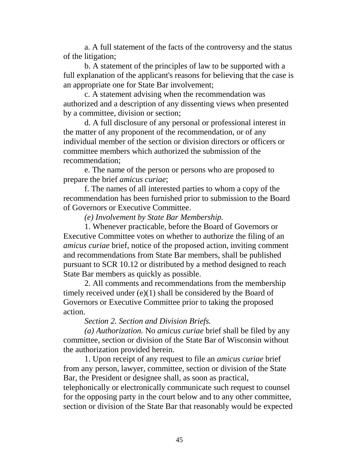a. A full statement of the facts of the controversy and the status of the litigation;

b. A statement of the principles of law to be supported with a full explanation of the applicant's reasons for believing that the case is an appropriate one for State Bar involvement;

c. A statement advising when the recommendation was authorized and a description of any dissenting views when presented by a committee, division or section;

d. A full disclosure of any personal or professional interest in the matter of any proponent of the recommendation, or of any individual member of the section or division directors or officers or committee members which authorized the submission of the recommendation;

e. The name of the person or persons who are proposed to prepare the brief *amicus curiae*;

f. The names of all interested parties to whom a copy of the recommendation has been furnished prior to submission to the Board of Governors or Executive Committee.

*(e) Involvement by State Bar Membership.*

1. Whenever practicable, before the Board of Governors or Executive Committee votes on whether to authorize the filing of an *amicus curiae* brief, notice of the proposed action, inviting comment and recommendations from State Bar members, shall be published pursuant to SCR 10.12 or distributed by a method designed to reach State Bar members as quickly as possible.

2. All comments and recommendations from the membership timely received under (e)(1) shall be considered by the Board of Governors or Executive Committee prior to taking the proposed action.

*Section 2. Section and Division Briefs.*

*(a) Authorization.* No *amicus curiae* brief shall be filed by any committee, section or division of the State Bar of Wisconsin without the authorization provided herein.

1. Upon receipt of any request to file an *amicus curiae* brief from any person, lawyer, committee, section or division of the State Bar, the President or designee shall, as soon as practical,

telephonically or electronically communicate such request to counsel for the opposing party in the court below and to any other committee, section or division of the State Bar that reasonably would be expected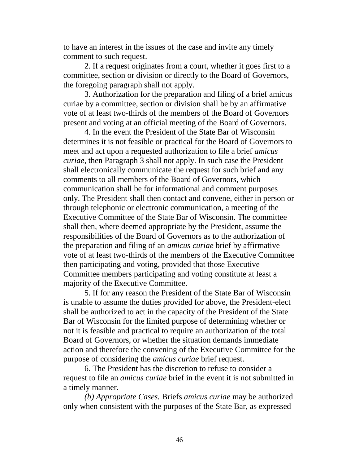to have an interest in the issues of the case and invite any timely comment to such request.

2. If a request originates from a court, whether it goes first to a committee, section or division or directly to the Board of Governors, the foregoing paragraph shall not apply.

3. Authorization for the preparation and filing of a brief amicus curiae by a committee, section or division shall be by an affirmative vote of at least two-thirds of the members of the Board of Governors present and voting at an official meeting of the Board of Governors.

4. In the event the President of the State Bar of Wisconsin determines it is not feasible or practical for the Board of Governors to meet and act upon a requested authorization to file a brief *amicus curiae*, then Paragraph 3 shall not apply. In such case the President shall electronically communicate the request for such brief and any comments to all members of the Board of Governors, which communication shall be for informational and comment purposes only. The President shall then contact and convene, either in person or through telephonic or electronic communication, a meeting of the Executive Committee of the State Bar of Wisconsin. The committee shall then, where deemed appropriate by the President, assume the responsibilities of the Board of Governors as to the authorization of the preparation and filing of an *amicus curiae* brief by affirmative vote of at least two-thirds of the members of the Executive Committee then participating and voting, provided that those Executive Committee members participating and voting constitute at least a majority of the Executive Committee.

5. If for any reason the President of the State Bar of Wisconsin is unable to assume the duties provided for above, the President-elect shall be authorized to act in the capacity of the President of the State Bar of Wisconsin for the limited purpose of determining whether or not it is feasible and practical to require an authorization of the total Board of Governors, or whether the situation demands immediate action and therefore the convening of the Executive Committee for the purpose of considering the *amicus curiae* brief request.

6. The President has the discretion to refuse to consider a request to file an *amicus curiae* brief in the event it is not submitted in a timely manner.

*(b) Appropriate Cases.* Briefs *amicus curiae* may be authorized only when consistent with the purposes of the State Bar, as expressed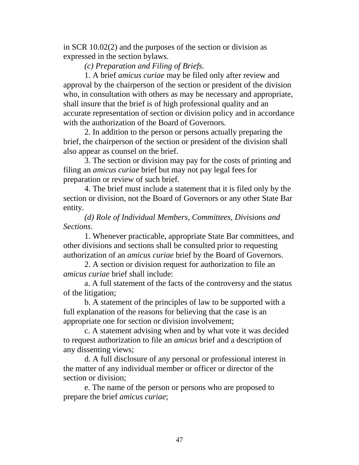in SCR 10.02(2) and the purposes of the section or division as expressed in the section bylaws.

*(c) Preparation and Filing of Briefs.*

1. A brief *amicus curiae* may be filed only after review and approval by the chairperson of the section or president of the division who, in consultation with others as may be necessary and appropriate, shall insure that the brief is of high professional quality and an accurate representation of section or division policy and in accordance with the authorization of the Board of Governors.

2. In addition to the person or persons actually preparing the brief, the chairperson of the section or president of the division shall also appear as counsel on the brief.

3. The section or division may pay for the costs of printing and filing an *amicus curiae* brief but may not pay legal fees for preparation or review of such brief.

4. The brief must include a statement that it is filed only by the section or division, not the Board of Governors or any other State Bar entity.

*(d) Role of Individual Members, Committees, Divisions and Sections*.

1. Whenever practicable, appropriate State Bar committees, and other divisions and sections shall be consulted prior to requesting authorization of an *amicus curiae* brief by the Board of Governors.

2. A section or division request for authorization to file an *amicus curiae* brief shall include:

a. A full statement of the facts of the controversy and the status of the litigation;

b. A statement of the principles of law to be supported with a full explanation of the reasons for believing that the case is an appropriate one for section or division involvement;

c. A statement advising when and by what vote it was decided to request authorization to file an *amicus* brief and a description of any dissenting views;

d. A full disclosure of any personal or professional interest in the matter of any individual member or officer or director of the section or division;

e. The name of the person or persons who are proposed to prepare the brief *amicus curiae*;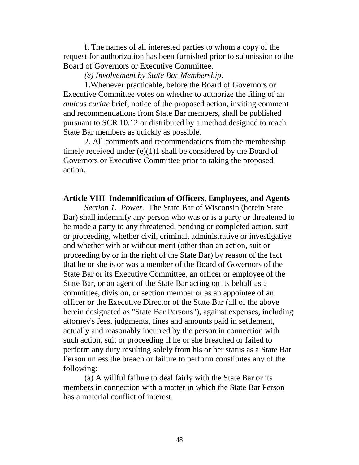f. The names of all interested parties to whom a copy of the request for authorization has been furnished prior to submission to the Board of Governors or Executive Committee.

*(e) Involvement by State Bar Membership.*

1.Whenever practicable, before the Board of Governors or Executive Committee votes on whether to authorize the filing of an *amicus curiae* brief, notice of the proposed action, inviting comment and recommendations from State Bar members, shall be published pursuant to SCR 10.12 or distributed by a method designed to reach State Bar members as quickly as possible.

2. All comments and recommendations from the membership timely received under (e)(1)1 shall be considered by the Board of Governors or Executive Committee prior to taking the proposed action.

## **Article VIII Indemnification of Officers, Employees, and Agents**

*Section 1. Power.* The State Bar of Wisconsin (herein State Bar) shall indemnify any person who was or is a party or threatened to be made a party to any threatened, pending or completed action, suit or proceeding, whether civil, criminal, administrative or investigative and whether with or without merit (other than an action, suit or proceeding by or in the right of the State Bar) by reason of the fact that he or she is or was a member of the Board of Governors of the State Bar or its Executive Committee, an officer or employee of the State Bar, or an agent of the State Bar acting on its behalf as a committee, division, or section member or as an appointee of an officer or the Executive Director of the State Bar (all of the above herein designated as "State Bar Persons"), against expenses, including attorney's fees, judgments, fines and amounts paid in settlement, actually and reasonably incurred by the person in connection with such action, suit or proceeding if he or she breached or failed to perform any duty resulting solely from his or her status as a State Bar Person unless the breach or failure to perform constitutes any of the following:

(a) A willful failure to deal fairly with the State Bar or its members in connection with a matter in which the State Bar Person has a material conflict of interest.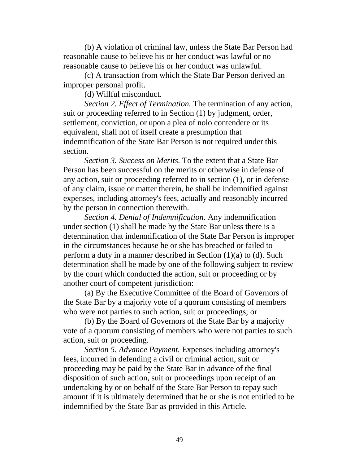(b) A violation of criminal law, unless the State Bar Person had reasonable cause to believe his or her conduct was lawful or no reasonable cause to believe his or her conduct was unlawful.

(c) A transaction from which the State Bar Person derived an improper personal profit.

(d) Willful misconduct.

*Section 2. Effect of Termination.* The termination of any action, suit or proceeding referred to in Section (1) by judgment, order, settlement, conviction, or upon a plea of nolo contendere or its equivalent, shall not of itself create a presumption that indemnification of the State Bar Person is not required under this section.

*Section 3. Success on Merits.* To the extent that a State Bar Person has been successful on the merits or otherwise in defense of any action, suit or proceeding referred to in section (1), or in defense of any claim, issue or matter therein, he shall be indemnified against expenses, including attorney's fees, actually and reasonably incurred by the person in connection therewith.

*Section 4. Denial of Indemnification.* Any indemnification under section (1) shall be made by the State Bar unless there is a determination that indemnification of the State Bar Person is improper in the circumstances because he or she has breached or failed to perform a duty in a manner described in Section (1)(a) to (d). Such determination shall be made by one of the following subject to review by the court which conducted the action, suit or proceeding or by another court of competent jurisdiction:

(a) By the Executive Committee of the Board of Governors of the State Bar by a majority vote of a quorum consisting of members who were not parties to such action, suit or proceedings; or

(b) By the Board of Governors of the State Bar by a majority vote of a quorum consisting of members who were not parties to such action, suit or proceeding.

*Section 5. Advance Payment.* Expenses including attorney's fees, incurred in defending a civil or criminal action, suit or proceeding may be paid by the State Bar in advance of the final disposition of such action, suit or proceedings upon receipt of an undertaking by or on behalf of the State Bar Person to repay such amount if it is ultimately determined that he or she is not entitled to be indemnified by the State Bar as provided in this Article.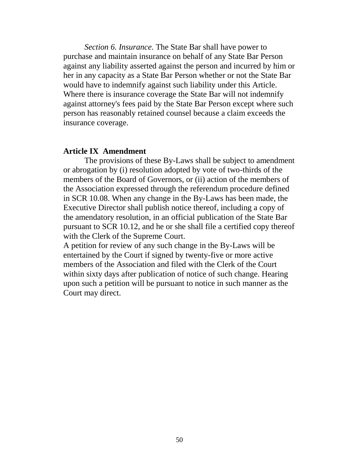*Section 6. Insurance.* The State Bar shall have power to purchase and maintain insurance on behalf of any State Bar Person against any liability asserted against the person and incurred by him or her in any capacity as a State Bar Person whether or not the State Bar would have to indemnify against such liability under this Article. Where there is insurance coverage the State Bar will not indemnify against attorney's fees paid by the State Bar Person except where such person has reasonably retained counsel because a claim exceeds the insurance coverage.

### **Article IX Amendment**

The provisions of these By-Laws shall be subject to amendment or abrogation by (i) resolution adopted by vote of two-thirds of the members of the Board of Governors, or (ii) action of the members of the Association expressed through the referendum procedure defined in SCR 10.08. When any change in the By-Laws has been made, the Executive Director shall publish notice thereof, including a copy of the amendatory resolution, in an official publication of the State Bar pursuant to SCR 10.12, and he or she shall file a certified copy thereof with the Clerk of the Supreme Court.

A petition for review of any such change in the By-Laws will be entertained by the Court if signed by twenty-five or more active members of the Association and filed with the Clerk of the Court within sixty days after publication of notice of such change. Hearing upon such a petition will be pursuant to notice in such manner as the Court may direct.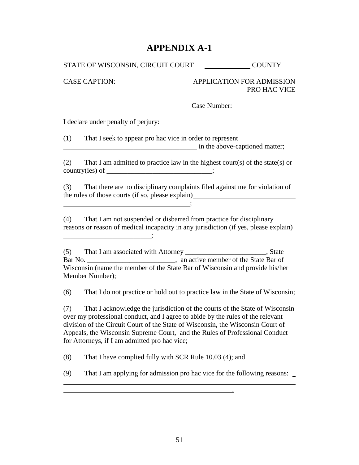# **APPENDIX A-1**

STATE OF WISCONSIN, CIRCUIT COURT COUNTY

CASE CAPTION: APPLICATION FOR ADMISSION PRO HAC VICE

Case Number:

I declare under penalty of perjury:

(1) That I seek to appear pro hac vice in order to represent example in the above-captioned matter;

(2) That I am admitted to practice law in the highest court(s) of the state(s) or  $country(ies) of \underline{\hspace{2cm}}$ 

(3) That there are no disciplinary complaints filed against me for violation of the rules of those courts (if so, please explain)  $\ddot{\hspace{1cm}}$ ;  $\ddot{\hspace{1cm}}$ ;  $\ddot{\hspace{1cm}}$ ;  $\ddot{\hspace{1cm}}$ ;  $\ddot{\hspace{1cm}}$ ;  $\ddot{\hspace{1cm}}$ ;  $\ddot{\hspace{1cm}}$ ;  $\ddot{\hspace{1cm}}$ ;  $\ddot{\hspace{1cm}}$ ;  $\ddot{\hspace{1cm}}$ ;  $\ddot{\hspace{1cm}}$ ;  $\ddot{\hspace{1cm}}$ ;  $\ddot{\hspace{1cm}}$ ;  $\ddot{\hspace{1cm}}$ ;  $\ddot{\hspace{1cm}}$ ;  $\ddot{\hspace{1cm}}$ 

(4) That I am not suspended or disbarred from practice for disciplinary reasons or reason of medical incapacity in any jurisdiction (if yes, please explain) \_\_\_\_\_\_\_\_\_\_\_\_\_\_\_\_\_\_\_\_\_\_\_\_\_;

(5) That I am associated with Attorney \_\_\_\_\_\_\_\_\_\_\_\_\_\_\_\_\_\_\_\_\_\_\_, State Bar No. 2012 and active member of the State Bar of Wisconsin (name the member of the State Bar of Wisconsin and provide his/her Member Number);

(6) That I do not practice or hold out to practice law in the State of Wisconsin;

(7) That I acknowledge the jurisdiction of the courts of the State of Wisconsin over my professional conduct, and I agree to abide by the rules of the relevant division of the Circuit Court of the State of Wisconsin, the Wisconsin Court of Appeals, the Wisconsin Supreme Court, and the Rules of Professional Conduct for Attorneys, if I am admitted pro hac vice;

(8) That I have complied fully with SCR Rule 10.03 (4); and

<u>. In the contract of the contract of the contract of the contract of the contract of the contract of the contract of the contract of the contract of the contract of the contract of the contract of the contract of the cont</u>

(9) That I am applying for admission pro hac vice for the following reasons: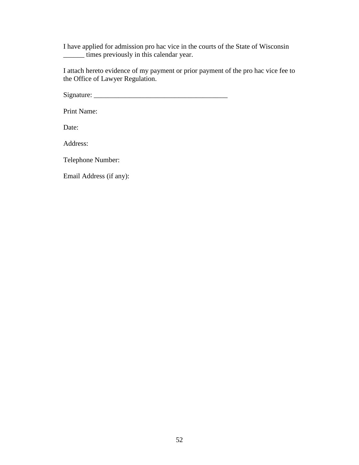I have applied for admission pro hac vice in the courts of the State of Wisconsin times previously in this calendar year.

I attach hereto evidence of my payment or prior payment of the pro hac vice fee to the Office of Lawyer Regulation.

 $Signature:$ 

Print Name:

Date:

Address:

Telephone Number:

Email Address (if any):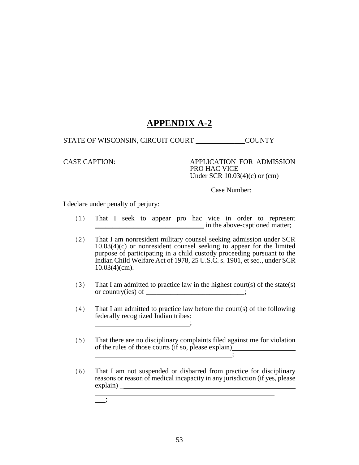# **APPENDIX A-2**

STATE OF WISCONSIN, CIRCUIT COURT \_\_\_\_\_\_\_\_\_\_\_\_\_\_COUNTY

CASE CAPTION: APPLICATION FOR ADMISSION PRO HAC VICE Under SCR 10.03(4)(c) or (cm)

Case Number:

I declare under penalty of perjury:

- (1) That I seek to appear pro hac vice in order to represent \_\_\_\_\_\_\_\_\_\_\_\_\_\_\_\_\_\_\_\_\_\_\_\_\_\_\_\_\_\_\_ in the above-captioned matter;
- (2) That I am nonresident military counsel seeking admission under SCR 10.03(4)(c) or nonresident counsel seeking to appear for the limited purpose of participating in a child custody proceeding pursuant to the Indian Child Welfare Act of 1978, 25 U.S.C. s. 1901, et seq., under SCR 10.03(4)(cm).
- (3) That I am admitted to practice law in the highest court(s) of the state(s) or country(ies) of \_\_\_\_\_\_\_\_\_\_\_\_\_\_\_\_\_\_\_\_\_;
- (4) That I am admitted to practice law before the court(s) of the following federally recognized Indian tribes: ;
- (5) That there are no disciplinary complaints filed against me for violation of the rules of those courts (if so, please explain)  $\ddot{\hspace{1cm}}$
- (6) That I am not suspended or disbarred from practice for disciplinary reasons or reason of medical incapacity in any jurisdiction (if yes, please explain) \_

<u> 1989 - Johann Stein, marwolaethau a bhann an t-Amhainn an t-Amhainn an t-Amhainn an t-Amhainn an t-Amhainn an</u>

;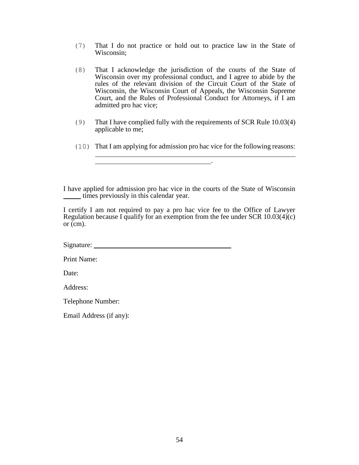- (7) That I do not practice or hold out to practice law in the State of Wisconsin;
- (8) That I acknowledge the jurisdiction of the courts of the State of Wisconsin over my professional conduct, and I agree to abide by the rules of the relevant division of the Circuit Court of the State of Wisconsin, the Wisconsin Court of Appeals, the Wisconsin Supreme Court, and the Rules of Professional Conduct for Attorneys, if I am admitted pro hac vice;
- (9) That I have complied fully with the requirements of SCR Rule 10.03(4) applicable to me;
- (10) That I am applying for admission pro hac vice for the following reasons:

.

I have applied for admission pro hac vice in the courts of the State of Wisconsin \_\_\_\_\_ times previously in this calendar year.

I certify I am not required to pay a pro hac vice fee to the Office of Lawyer Regulation because I qualify for an exemption from the fee under SCR  $10.03(4)(c)$ or (cm).

 $Signature:$ 

Print Name:

Date:

Address:

Telephone Number:

Email Address (if any):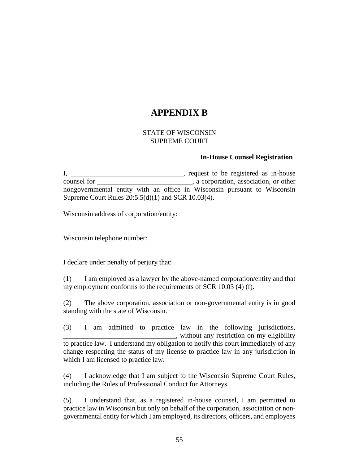# **APPENDIX B**

#### STATE OF WISCONSIN SUPREME COURT

#### **In-House Counsel Registration**

I, \_\_\_\_\_\_\_\_\_\_\_\_\_\_\_\_\_\_\_\_\_\_\_\_\_\_\_\_\_\_\_, request to be registered as in-house counsel for \_\_\_\_\_\_\_\_\_\_\_\_\_\_\_\_\_\_\_\_\_\_\_\_\_\_\_, a corporation, association, or other nongovernmental entity with an office in Wisconsin pursuant to Wisconsin Supreme Court Rules 20:5.5(d)(1) and SCR 10.03(4).

Wisconsin address of corporation/entity:

Wisconsin telephone number:

I declare under penalty of perjury that:

(1) I am employed as a lawyer by the above-named corporation/entity and that my employment conforms to the requirements of SCR 10.03 (4) (f).

(2) The above corporation, association or non-governmental entity is in good standing with the state of Wisconsin.

(3) I am admitted to practice law in the following jurisdictions, \_\_\_\_\_\_\_\_\_\_\_\_\_\_\_\_\_\_\_\_\_\_\_\_\_\_\_\_\_\_\_\_, without any restriction on my eligibility to practice law. I understand my obligation to notify this court immediately of any change respecting the status of my license to practice law in any jurisdiction in which I am licensed to practice law.

(4) I acknowledge that I am subject to the Wisconsin Supreme Court Rules, including the Rules of Professional Conduct for Attorneys.

(5) I understand that, as a registered in-house counsel, I am permitted to practice law in Wisconsin but only on behalf of the corporation, association or nongovernmental entity for which I am employed, its directors, officers, and employees